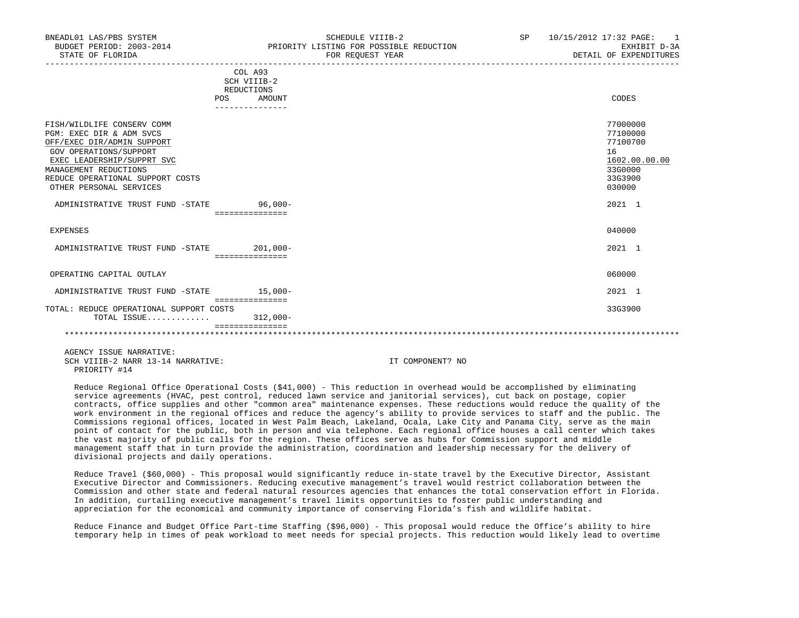| BNEADL01 LAS/PBS SYSTEM<br>BUDGET PERIOD: 2003-2014<br>STATE OF FLORIDA |            | SCHEDULE VIIIB-2<br>PRIORITY LISTING FOR POSSIBLE REDUCTION<br>FOR REQUEST YEAR | SP. | 10/15/2012 17:32 PAGE:<br>$\sim$ 1<br>EXHIBIT D-3A<br>DETAIL OF EXPENDITURES |
|-------------------------------------------------------------------------|------------|---------------------------------------------------------------------------------|-----|------------------------------------------------------------------------------|
|                                                                         |            | COL A93<br>SCH VIIIB-2                                                          |     |                                                                              |
|                                                                         | <b>POS</b> | REDUCTIONS<br>AMOUNT                                                            |     | CODES                                                                        |
| FISH/WILDLIFE CONSERV COMM                                              |            |                                                                                 |     | 77000000<br>--------                                                         |

| PGM: EXEC DIR & ADM SVCS                |                 | 77100000      |
|-----------------------------------------|-----------------|---------------|
| OFF/EXEC DIR/ADMIN SUPPORT              |                 | 77100700      |
| GOV OPERATIONS/SUPPORT                  |                 | 16            |
| EXEC LEADERSHIP/SUPPRT SVC              |                 | 1602.00.00.00 |
| MANAGEMENT REDUCTIONS                   |                 | 33G0000       |
| REDUCE OPERATIONAL SUPPORT COSTS        |                 | 33G3900       |
| OTHER PERSONAL SERVICES                 |                 | 030000        |
|                                         |                 |               |
| ADMINISTRATIVE TRUST FUND -STATE        | $96,000 -$      | 2021 1        |
|                                         | =============== |               |
|                                         |                 | 040000        |
| EXPENSES                                |                 |               |
| ADMINISTRATIVE TRUST FUND -STATE        | $201,000-$      | 2021 1        |
|                                         | =============== |               |
|                                         |                 |               |
| OPERATING CAPITAL OUTLAY                |                 | 060000        |
|                                         |                 |               |
| ADMINISTRATIVE TRUST FUND -STATE        | $15,000-$       | 2021 1        |
|                                         |                 |               |
| TOTAL: REDUCE OPERATIONAL SUPPORT COSTS |                 | 33G3900       |
| TOTAL ISSUE                             | $312,000-$      |               |
|                                         |                 |               |
|                                         |                 |               |

 AGENCY ISSUE NARRATIVE: SCH VIIIB-2 NARR 13-14 NARRATIVE: IT COMPONENT? NO PRIORITY #14

 Reduce Regional Office Operational Costs (\$41,000) - This reduction in overhead would be accomplished by eliminating service agreements (HVAC, pest control, reduced lawn service and janitorial services), cut back on postage, copier contracts, office supplies and other "common area" maintenance expenses. These reductions would reduce the quality of the work environment in the regional offices and reduce the agency's ability to provide services to staff and the public. The Commissions regional offices, located in West Palm Beach, Lakeland, Ocala, Lake City and Panama City, serve as the main point of contact for the public, both in person and via telephone. Each regional office houses a call center which takes the vast majority of public calls for the region. These offices serve as hubs for Commission support and middle management staff that in turn provide the administration, coordination and leadership necessary for the delivery of divisional projects and daily operations.

 Reduce Travel (\$60,000) - This proposal would significantly reduce in-state travel by the Executive Director, Assistant Executive Director and Commissioners. Reducing executive management's travel would restrict collaboration between the Commission and other state and federal natural resources agencies that enhances the total conservation effort in Florida. In addition, curtailing executive management's travel limits opportunities to foster public understanding and appreciation for the economical and community importance of conserving Florida's fish and wildlife habitat.

 Reduce Finance and Budget Office Part-time Staffing (\$96,000) - This proposal would reduce the Office's ability to hire temporary help in times of peak workload to meet needs for special projects. This reduction would likely lead to overtime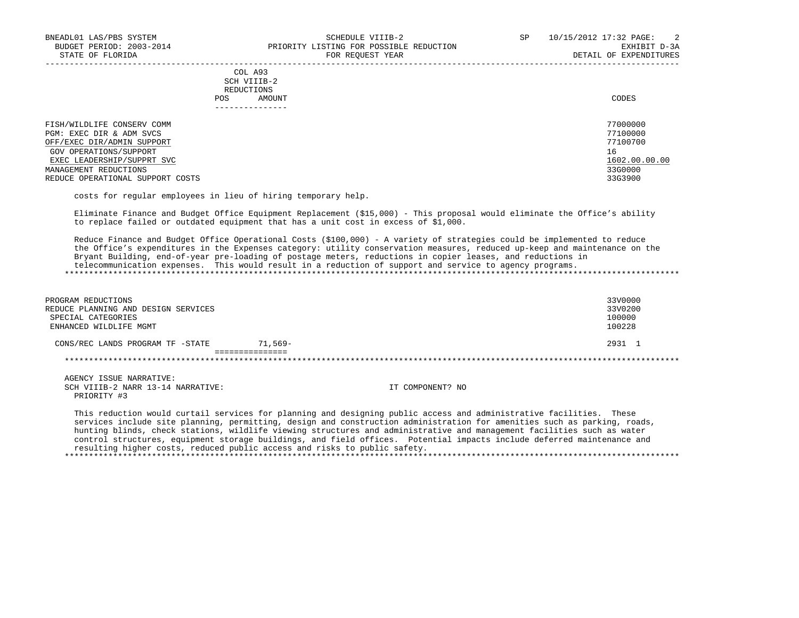| COL A93<br>SCH VIIIB-2<br>REDUCTIONS<br>AMOUNT<br><b>POS</b>                         | CODES                                  |
|--------------------------------------------------------------------------------------|----------------------------------------|
| FISH/WILDLIFE CONSERV COMM<br>PGM: EXEC DIR & ADM SVCS<br>OFF/EXEC DIR/ADMIN SUPPORT | 77000000<br>77100000<br>77100700<br>16 |
| GOV OPERATIONS/SUPPORT<br>EXEC LEADERSHIP/SUPPRT SVC                                 | 1602.00.00.00                          |
| MANAGEMENT REDUCTIONS                                                                | 33G0000                                |
| REDUCE OPERATIONAL SUPPORT COSTS                                                     | 33G3900                                |

costs for regular employees in lieu of hiring temporary help.

resulting higher costs, reduced public access and risks to public safety.

 Eliminate Finance and Budget Office Equipment Replacement (\$15,000) - This proposal would eliminate the Office's ability to replace failed or outdated equipment that has a unit cost in excess of \$1,000.

 Reduce Finance and Budget Office Operational Costs (\$100,000) - A variety of strategies could be implemented to reduce the Office's expenditures in the Expenses category: utility conservation measures, reduced up-keep and maintenance on the Bryant Building, end-of-year pre-loading of postage meters, reductions in copier leases, and reductions in telecommunication expenses. This would result in a reduction of support and service to agency programs. \*\*\*\*\*\*\*\*\*\*\*\*\*\*\*\*\*\*\*\*\*\*\*\*\*\*\*\*\*\*\*\*\*\*\*\*\*\*\*\*\*\*\*\*\*\*\*\*\*\*\*\*\*\*\*\*\*\*\*\*\*\*\*\*\*\*\*\*\*\*\*\*\*\*\*\*\*\*\*\*\*\*\*\*\*\*\*\*\*\*\*\*\*\*\*\*\*\*\*\*\*\*\*\*\*\*\*\*\*\*\*\*\*\*\*\*\*\*\*\*\*\*\*\*\*\*\*

| PROGRAM REDUCTIONS<br>REDUCE PLANNING AND DESIGN SERVICES<br>SPECIAL CATEGORIES<br>ENHANCED WILDLIFE MGMT | 33V0000<br>33V0200<br>100000<br>100228                                                                                                                                                                                                                                                                                                                                                                                                                                                              |
|-----------------------------------------------------------------------------------------------------------|-----------------------------------------------------------------------------------------------------------------------------------------------------------------------------------------------------------------------------------------------------------------------------------------------------------------------------------------------------------------------------------------------------------------------------------------------------------------------------------------------------|
| $71,569-$<br>CONS/REC LANDS PROGRAM TF -STATE                                                             | 2931 1                                                                                                                                                                                                                                                                                                                                                                                                                                                                                              |
| ===============                                                                                           |                                                                                                                                                                                                                                                                                                                                                                                                                                                                                                     |
| AGENCY ISSUE NARRATIVE:<br>SCH VIIIB-2 NARR 13-14 NARRATIVE:<br>PRIORITY #3                               | IT COMPONENT? NO                                                                                                                                                                                                                                                                                                                                                                                                                                                                                    |
|                                                                                                           | This reduction would curtail services for planning and designing public access and administrative facilities. These<br>services include site planning, permitting, design and construction administration for amenities such as parking, roads,<br>hunting blinds, check stations, wildlife viewing structures and administrative and management facilities such as water<br>control structures, equipment storage buildings, and field offices. Potential impacts include deferred maintenance and |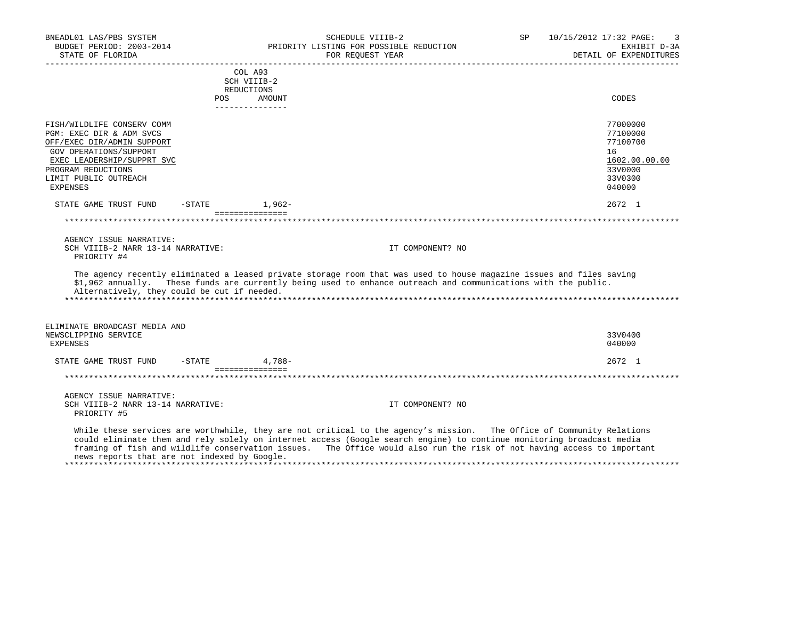| BNEADL01 LAS/PBS SYSTEM<br>BUDGET PERIOD: 2003-2014<br>STATE OF FLORIDA |                              | SCHEDULE VIIIB-2<br>PRIORITY LISTING FOR POSSIBLE REDUCTION<br>FOR REQUEST YEAR                                                                                                                                                                                                                                                                                          | SP | 10/15/2012 17:32 PAGE:<br>EXHIBIT D-3A<br>DETAIL OF EXPENDITURES |
|-------------------------------------------------------------------------|------------------------------|--------------------------------------------------------------------------------------------------------------------------------------------------------------------------------------------------------------------------------------------------------------------------------------------------------------------------------------------------------------------------|----|------------------------------------------------------------------|
|                                                                         | COL A93<br>SCH VIIIB-2       |                                                                                                                                                                                                                                                                                                                                                                          |    |                                                                  |
|                                                                         | REDUCTIONS                   |                                                                                                                                                                                                                                                                                                                                                                          |    |                                                                  |
|                                                                         | POS<br>----------------      | AMOUNT                                                                                                                                                                                                                                                                                                                                                                   |    | CODES                                                            |
| FISH/WILDLIFE CONSERV COMM                                              |                              |                                                                                                                                                                                                                                                                                                                                                                          |    | 77000000                                                         |
| PGM: EXEC DIR & ADM SVCS                                                |                              |                                                                                                                                                                                                                                                                                                                                                                          |    | 77100000                                                         |
| OFF/EXEC DIR/ADMIN SUPPORT                                              |                              |                                                                                                                                                                                                                                                                                                                                                                          |    | 77100700                                                         |
| GOV OPERATIONS/SUPPORT                                                  |                              |                                                                                                                                                                                                                                                                                                                                                                          |    | 16                                                               |
| EXEC LEADERSHIP/SUPPRT SVC                                              |                              |                                                                                                                                                                                                                                                                                                                                                                          |    | 1602.00.00.00                                                    |
| PROGRAM REDUCTIONS                                                      |                              |                                                                                                                                                                                                                                                                                                                                                                          |    | 33V0000                                                          |
| LIMIT PUBLIC OUTREACH                                                   |                              |                                                                                                                                                                                                                                                                                                                                                                          |    | 33V0300                                                          |
| <b>EXPENSES</b>                                                         |                              |                                                                                                                                                                                                                                                                                                                                                                          |    | 040000                                                           |
| STATE GAME TRUST FUND                                                   | $-$ STATE $1,962-$           |                                                                                                                                                                                                                                                                                                                                                                          |    | 2672 1                                                           |
|                                                                         | ===============              |                                                                                                                                                                                                                                                                                                                                                                          |    |                                                                  |
| AGENCY ISSUE NARRATIVE:                                                 |                              |                                                                                                                                                                                                                                                                                                                                                                          |    |                                                                  |
| SCH VIIIB-2 NARR 13-14 NARRATIVE:                                       |                              | IT COMPONENT? NO                                                                                                                                                                                                                                                                                                                                                         |    |                                                                  |
| PRIORITY #4                                                             |                              |                                                                                                                                                                                                                                                                                                                                                                          |    |                                                                  |
| Alternatively, they could be cut if needed.                             |                              | The agency recently eliminated a leased private storage room that was used to house magazine issues and files saving<br>\$1,962 annually. These funds are currently being used to enhance outreach and communications with the public.                                                                                                                                   |    |                                                                  |
| ELIMINATE BROADCAST MEDIA AND                                           |                              |                                                                                                                                                                                                                                                                                                                                                                          |    |                                                                  |
| NEWSCLIPPING SERVICE                                                    |                              |                                                                                                                                                                                                                                                                                                                                                                          |    | 33V0400                                                          |
| <b>EXPENSES</b>                                                         |                              |                                                                                                                                                                                                                                                                                                                                                                          |    | 040000                                                           |
| STATE GAME TRUST FUND                                                   | $-STATE$<br>================ | $4.788-$                                                                                                                                                                                                                                                                                                                                                                 |    | $2672 \quad 1$                                                   |
|                                                                         |                              |                                                                                                                                                                                                                                                                                                                                                                          |    |                                                                  |
| AGENCY ISSUE NARRATIVE:                                                 |                              |                                                                                                                                                                                                                                                                                                                                                                          |    |                                                                  |
| SCH VIIIB-2 NARR 13-14 NARRATIVE:<br>PRIORITY #5                        |                              | IT COMPONENT? NO                                                                                                                                                                                                                                                                                                                                                         |    |                                                                  |
| news reports that are not indexed by Google.                            |                              | While these services are worthwhile, they are not critical to the agency's mission. The Office of Community Relations<br>could eliminate them and rely solely on internet access (Google search engine) to continue monitoring broadcast media<br>framing of fish and wildlife conservation issues. The Office would also run the risk of not having access to important |    |                                                                  |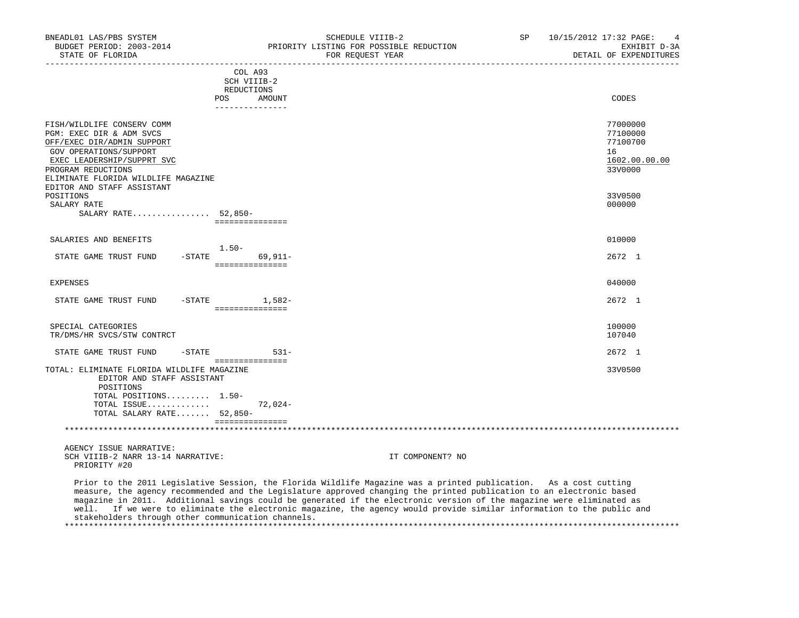| BNEADL01 LAS/PBS SYSTEM<br>BUDGET PERIOD: 2003-2014<br>STATE OF FLORIDA                                                                                                                                   | SCHEDULE VIIIB-2<br>PRIORITY LISTING FOR POSSIBLE REDUCTION<br>FOR REOUEST YEAR | SP 10/15/2012 17:32 PAGE: 4<br>EXHIBIT D-3A<br>DETAIL OF EXPENDITURES |
|-----------------------------------------------------------------------------------------------------------------------------------------------------------------------------------------------------------|---------------------------------------------------------------------------------|-----------------------------------------------------------------------|
|                                                                                                                                                                                                           | COL A93<br>SCH VIIIB-2<br>REDUCTIONS                                            |                                                                       |
|                                                                                                                                                                                                           | POS<br>AMOUNT<br>_______________                                                | CODES                                                                 |
| FISH/WILDLIFE CONSERV COMM<br>PGM: EXEC DIR & ADM SVCS<br>OFF/EXEC DIR/ADMIN SUPPORT<br>GOV OPERATIONS/SUPPORT<br>EXEC LEADERSHIP/SUPPRT SVC<br>PROGRAM REDUCTIONS<br>ELIMINATE FLORIDA WILDLIFE MAGAZINE |                                                                                 | 77000000<br>77100000<br>77100700<br>16<br>1602.00.00.00<br>33V0000    |
| EDITOR AND STAFF ASSISTANT<br>POSITIONS<br>SALARY RATE<br>SALARY RATE 52,850-                                                                                                                             | ===============                                                                 | 33V0500<br>000000                                                     |
| SALARIES AND BENEFITS                                                                                                                                                                                     | $1.50-$                                                                         | 010000                                                                |
| STATE GAME TRUST FUND                                                                                                                                                                                     | $-STATE$ 69, 911-<br>===============                                            | 2672 1                                                                |
| EXPENSES                                                                                                                                                                                                  |                                                                                 | 040000                                                                |
| STATE GAME TRUST FUND -STATE 1,582-                                                                                                                                                                       | ===============                                                                 | 2672 1                                                                |
| SPECIAL CATEGORIES<br>TR/DMS/HR SVCS/STW CONTRCT                                                                                                                                                          |                                                                                 | 100000<br>107040                                                      |
| STATE GAME TRUST FUND                                                                                                                                                                                     | $-STATE$ 531-<br>===============                                                | 2672 1                                                                |
| TOTAL: ELIMINATE FLORIDA WILDLIFE MAGAZINE<br>EDITOR AND STAFF ASSISTANT<br>POSITIONS<br>TOTAL POSITIONS 1.50-                                                                                            |                                                                                 | 33V0500                                                               |
| TOTAL ISSUE<br>TOTAL SALARY RATE 52,850-                                                                                                                                                                  | $72.024-$                                                                       |                                                                       |
|                                                                                                                                                                                                           | ===============                                                                 |                                                                       |

 AGENCY ISSUE NARRATIVE: SCH VIIIB-2 NARR 13-14 NARRATIVE: IT COMPONENT? NO PRIORITY #20

 Prior to the 2011 Legislative Session, the Florida Wildlife Magazine was a printed publication. As a cost cutting measure, the agency recommended and the Legislature approved changing the printed publication to an electronic based magazine in 2011. Additional savings could be generated if the electronic version of the magazine were eliminated as well. If we were to eliminate the electronic magazine, the agency would provide similar information to the public and stakeholders through other communication channels. \*\*\*\*\*\*\*\*\*\*\*\*\*\*\*\*\*\*\*\*\*\*\*\*\*\*\*\*\*\*\*\*\*\*\*\*\*\*\*\*\*\*\*\*\*\*\*\*\*\*\*\*\*\*\*\*\*\*\*\*\*\*\*\*\*\*\*\*\*\*\*\*\*\*\*\*\*\*\*\*\*\*\*\*\*\*\*\*\*\*\*\*\*\*\*\*\*\*\*\*\*\*\*\*\*\*\*\*\*\*\*\*\*\*\*\*\*\*\*\*\*\*\*\*\*\*\*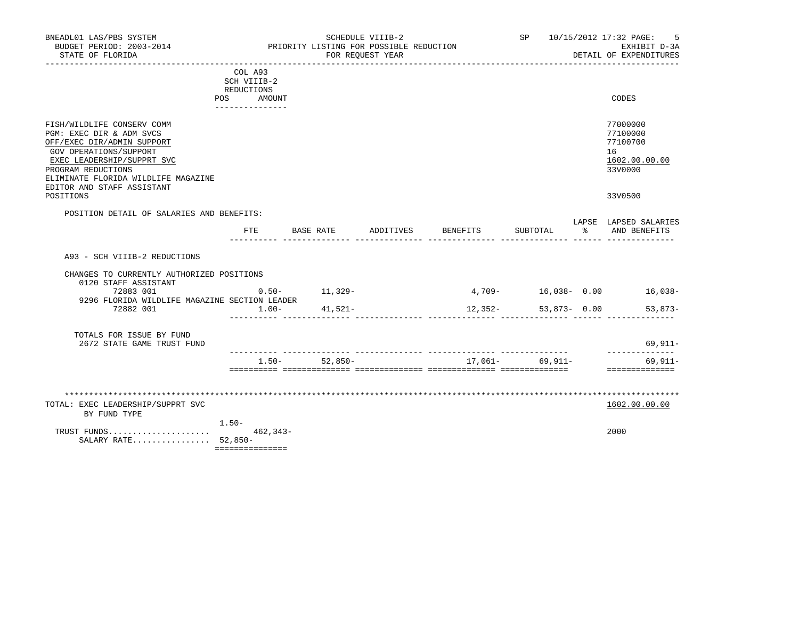| BNEADL01 LAS/PBS SYSTEM<br>BUDGET PERIOD: 2003-2014<br>STATE OF FLORIDA                                                                                                                                                                              |                                                    | PRIORITY LISTING FOR POSSIBLE REDUCTION | SCHEDULE VIIIB-2<br>FOR REQUEST YEAR |                    | SP 10/15/2012 17:32 PAGE:               |               | 5<br>EXHIBIT D-3A<br>DETAIL OF EXPENDITURES                                   |
|------------------------------------------------------------------------------------------------------------------------------------------------------------------------------------------------------------------------------------------------------|----------------------------------------------------|-----------------------------------------|--------------------------------------|--------------------|-----------------------------------------|---------------|-------------------------------------------------------------------------------|
|                                                                                                                                                                                                                                                      | COL A93<br>SCH VIIIB-2<br>REDUCTIONS<br>POS AMOUNT |                                         |                                      |                    |                                         |               | CODES                                                                         |
| FISH/WILDLIFE CONSERV COMM<br>PGM: EXEC DIR & ADM SVCS<br>OFF/EXEC DIR/ADMIN SUPPORT<br>GOV OPERATIONS/SUPPORT<br>EXEC LEADERSHIP/SUPPRT SVC<br>PROGRAM REDUCTIONS<br>ELIMINATE FLORIDA WILDLIFE MAGAZINE<br>EDITOR AND STAFF ASSISTANT<br>POSITIONS | _______________                                    |                                         |                                      |                    |                                         |               | 77000000<br>77100000<br>77100700<br>16<br>1602.00.00.00<br>33V0000<br>33V0500 |
| POSITION DETAIL OF SALARIES AND BENEFITS:                                                                                                                                                                                                            |                                                    |                                         |                                      |                    |                                         |               |                                                                               |
|                                                                                                                                                                                                                                                      | FTE                                                | BASE RATE                               |                                      | ADDITIVES BENEFITS | SUBTOTAL                                | $\frac{1}{6}$ | LAPSE LAPSED SALARIES<br>AND BENEFITS                                         |
| A93 - SCH VIIIB-2 REDUCTIONS<br>CHANGES TO CURRENTLY AUTHORIZED POSITIONS<br>0120 STAFF ASSISTANT<br>72883 001<br>9296 FLORIDA WILDLIFE MAGAZINE SECTION LEADER<br>72882 001                                                                         | $1.00 -$                                           | $0.50 - 11,329 -$<br>$41,521-$          |                                      |                    | $12,352 - 53,873 - 0.00$<br>___________ |               | 4,709- 16,038- 0.00 16,038-<br>$53,873-$                                      |
| TOTALS FOR ISSUE BY FUND<br>2672 STATE GAME TRUST FUND                                                                                                                                                                                               |                                                    |                                         |                                      |                    |                                         |               | 69,911-                                                                       |
|                                                                                                                                                                                                                                                      |                                                    | $1.50 - 52.850 -$                       |                                      |                    | 17,061- 69,911-                         |               | --------------<br>$69,911-$<br>==============                                 |
| TOTAL: EXEC LEADERSHIP/SUPPRT SVC<br>BY FUND TYPE                                                                                                                                                                                                    | $1.50 -$                                           |                                         |                                      |                    |                                         |               | 1602.00.00.00                                                                 |
| SALARY RATE 52,850-                                                                                                                                                                                                                                  | $462, 343-$<br>===============                     |                                         |                                      |                    |                                         |               | 2000                                                                          |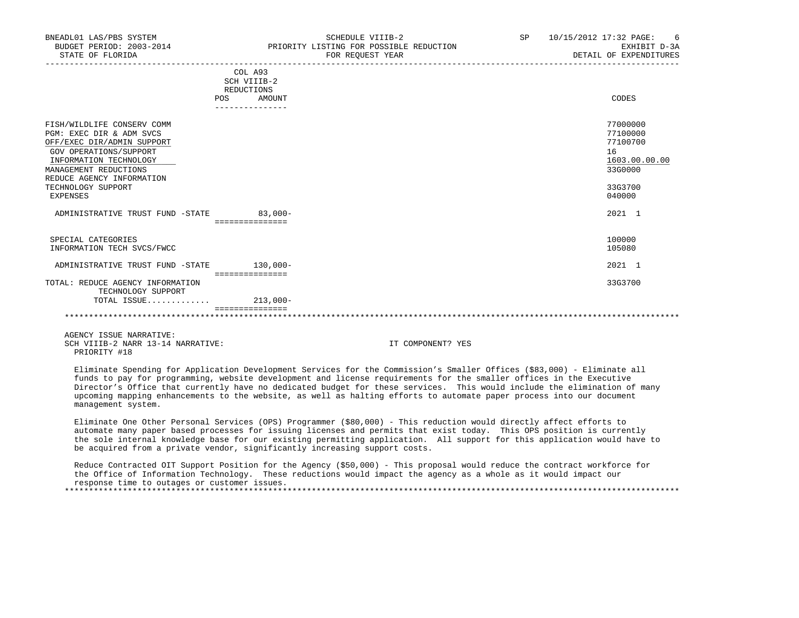| BNEADL01 LAS/PBS SYSTEM<br>BUDGET PERIOD: 2003-2014<br>STATE OF FLORIDA                                                                                                                                                          |                              | SCHEDULE VIIIB-2<br>PRIORITY LISTING FOR POSSIBLE REDUCTION<br>FOR REOUEST YEAR | SP | 10/15/2012 17:32 PAGE: 6<br>EXHIBIT D-3A<br>DETAIL OF EXPENDITURES                      |
|----------------------------------------------------------------------------------------------------------------------------------------------------------------------------------------------------------------------------------|------------------------------|---------------------------------------------------------------------------------|----|-----------------------------------------------------------------------------------------|
|                                                                                                                                                                                                                                  | COL A93<br>REDUCTIONS<br>POS | SCH VIIIB-2<br>AMOUNT                                                           |    | CODES                                                                                   |
|                                                                                                                                                                                                                                  |                              | ---------------                                                                 |    |                                                                                         |
| FISH/WILDLIFE CONSERV COMM<br>PGM: EXEC DIR & ADM SVCS<br>OFF/EXEC DIR/ADMIN SUPPORT<br>GOV OPERATIONS/SUPPORT<br>INFORMATION TECHNOLOGY<br>MANAGEMENT REDUCTIONS<br>REDUCE AGENCY INFORMATION<br>TECHNOLOGY SUPPORT<br>EXPENSES |                              |                                                                                 |    | 77000000<br>77100000<br>77100700<br>16<br>1603.00.00.00<br>33G0000<br>33G3700<br>040000 |
| ADMINISTRATIVE TRUST FUND -STATE                                                                                                                                                                                                 | ===============              | $83,000-$                                                                       |    | 2021 1                                                                                  |
| SPECIAL CATEGORIES<br>INFORMATION TECH SVCS/FWCC                                                                                                                                                                                 |                              |                                                                                 |    | 100000<br>105080                                                                        |
| ADMINISTRATIVE TRUST FUND -STATE                                                                                                                                                                                                 |                              | $130,000 -$                                                                     |    | 2021 1                                                                                  |
| TOTAL: REDUCE AGENCY INFORMATION<br>TRAUMOLOGY SUDDOPT                                                                                                                                                                           |                              | ===============                                                                 |    | 33G3700                                                                                 |

 TECHNOLOGY SUPPORT TOTAL ISSUE............. 213,000- =============== \*\*\*\*\*\*\*\*\*\*\*\*\*\*\*\*\*\*\*\*\*\*\*\*\*\*\*\*\*\*\*\*\*\*\*\*\*\*\*\*\*\*\*\*\*\*\*\*\*\*\*\*\*\*\*\*\*\*\*\*\*\*\*\*\*\*\*\*\*\*\*\*\*\*\*\*\*\*\*\*\*\*\*\*\*\*\*\*\*\*\*\*\*\*\*\*\*\*\*\*\*\*\*\*\*\*\*\*\*\*\*\*\*\*\*\*\*\*\*\*\*\*\*\*\*\*\*

 AGENCY ISSUE NARRATIVE: SCH VIIIB-2 NARR 13-14 NARRATIVE: IT COMPONENT? YES PRIORITY #18

 Eliminate Spending for Application Development Services for the Commission's Smaller Offices (\$83,000) - Eliminate all funds to pay for programming, website development and license requirements for the smaller offices in the Executive Director's Office that currently have no dedicated budget for these services. This would include the elimination of many upcoming mapping enhancements to the website, as well as halting efforts to automate paper process into our document management system.

 Eliminate One Other Personal Services (OPS) Programmer (\$80,000) - This reduction would directly affect efforts to automate many paper based processes for issuing licenses and permits that exist today. This OPS position is currently the sole internal knowledge base for our existing permitting application. All support for this application would have to be acquired from a private vendor, significantly increasing support costs.

 Reduce Contracted OIT Support Position for the Agency (\$50,000) - This proposal would reduce the contract workforce for the Office of Information Technology. These reductions would impact the agency as a whole as it would impact our response time to outages or customer issues. \*\*\*\*\*\*\*\*\*\*\*\*\*\*\*\*\*\*\*\*\*\*\*\*\*\*\*\*\*\*\*\*\*\*\*\*\*\*\*\*\*\*\*\*\*\*\*\*\*\*\*\*\*\*\*\*\*\*\*\*\*\*\*\*\*\*\*\*\*\*\*\*\*\*\*\*\*\*\*\*\*\*\*\*\*\*\*\*\*\*\*\*\*\*\*\*\*\*\*\*\*\*\*\*\*\*\*\*\*\*\*\*\*\*\*\*\*\*\*\*\*\*\*\*\*\*\*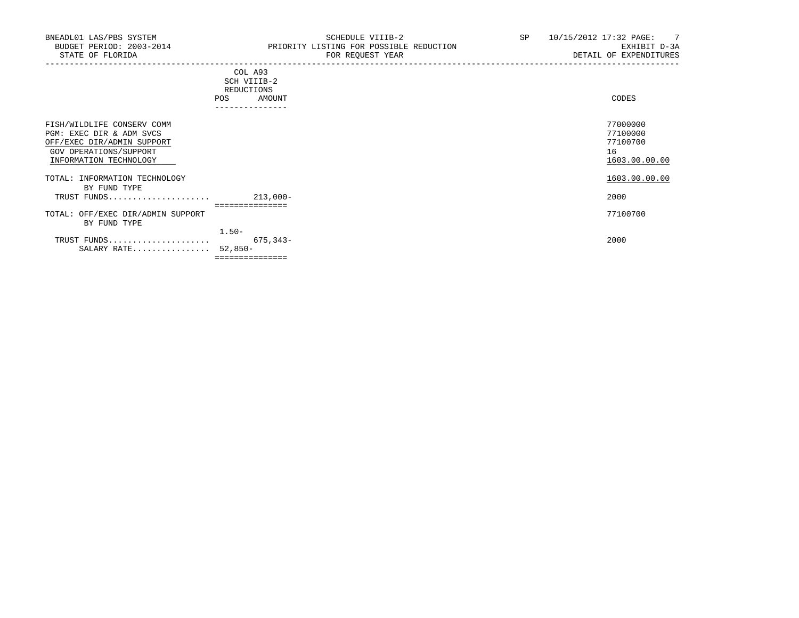|                                                                                                                                          | COL A93<br>SCH VIIIB-2<br>REDUCTIONS<br>AMOUNT<br><b>POS</b><br>---------------- | CODES                                                   |  |
|------------------------------------------------------------------------------------------------------------------------------------------|----------------------------------------------------------------------------------|---------------------------------------------------------|--|
| FISH/WILDLIFE CONSERV COMM<br>PGM: EXEC DIR & ADM SVCS<br>OFF/EXEC DIR/ADMIN SUPPORT<br>GOV OPERATIONS/SUPPORT<br>INFORMATION TECHNOLOGY |                                                                                  | 77000000<br>77100000<br>77100700<br>16<br>1603.00.00.00 |  |
| TOTAL: INFORMATION TECHNOLOGY                                                                                                            |                                                                                  | 1603.00.00.00                                           |  |
| BY FUND TYPE<br>TRUST FUNDS                                                                                                              | $213,000-$                                                                       | 2000                                                    |  |
|                                                                                                                                          | :=============                                                                   |                                                         |  |
| TOTAL: OFF/EXEC DIR/ADMIN SUPPORT<br>BY FUND TYPE                                                                                        |                                                                                  | 77100700                                                |  |
|                                                                                                                                          | $1.50-$                                                                          |                                                         |  |
| TRUST FUNDS<br>SALARY RATE                                                                                                               | 675,343-<br>$52,850-$                                                            | 2000                                                    |  |

===============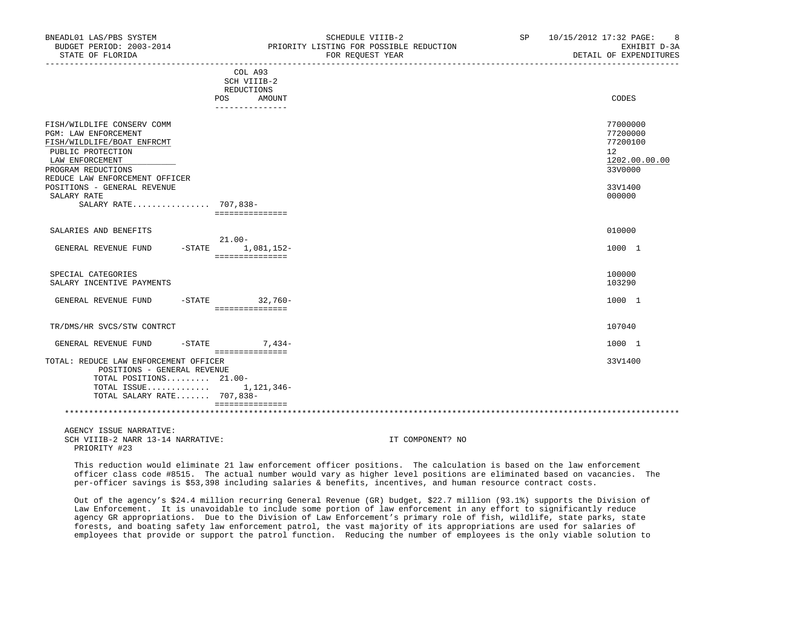| BNEADL01 LAS/PBS SYSTEM<br>BUDGET PERIOD: 2003-2014<br>STATE OF FLORIDA                                                                                                                                                                                |                                                                           | SCHEDULE VIIIB-2<br>PRIORITY LISTING FOR POSSIBLE REDUCTION<br>FOR REQUEST YEAR | SP 10/15/2012 17:32 PAGE: 8<br>EXHIBIT D-3A<br>DETAIL OF EXPENDITURES                   |
|--------------------------------------------------------------------------------------------------------------------------------------------------------------------------------------------------------------------------------------------------------|---------------------------------------------------------------------------|---------------------------------------------------------------------------------|-----------------------------------------------------------------------------------------|
|                                                                                                                                                                                                                                                        | COL A93<br>SCH VIIIB-2<br>REDUCTIONS<br>AMOUNT<br>POS<br>---------------- |                                                                                 | CODES                                                                                   |
| FISH/WILDLIFE CONSERV COMM<br>PGM: LAW ENFORCEMENT<br>FISH/WILDLIFE/BOAT ENFRCMT<br>PUBLIC PROTECTION<br>LAW ENFORCEMENT<br>PROGRAM REDUCTIONS<br>REDUCE LAW ENFORCEMENT OFFICER<br>POSITIONS - GENERAL REVENUE<br>SALARY RATE<br>SALARY RATE 707,838- | ===============                                                           |                                                                                 | 77000000<br>77200000<br>77200100<br>12<br>1202.00.00.00<br>33V0000<br>33V1400<br>000000 |
| SALARIES AND BENEFITS                                                                                                                                                                                                                                  | $21.00 -$                                                                 |                                                                                 | 010000                                                                                  |
| GENERAL REVENUE FUND                                                                                                                                                                                                                                   | -STATE 1,081,152-<br>===============                                      |                                                                                 | 1000 1                                                                                  |
| SPECIAL CATEGORIES<br>SALARY INCENTIVE PAYMENTS                                                                                                                                                                                                        |                                                                           |                                                                                 | 100000<br>103290                                                                        |
| GENERAL REVENUE FUND -STATE 32,760-                                                                                                                                                                                                                    | ===============                                                           |                                                                                 | 1000 1                                                                                  |
| TR/DMS/HR SVCS/STW CONTRCT                                                                                                                                                                                                                             |                                                                           |                                                                                 | 107040                                                                                  |
| GENERAL REVENUE FUND -STATE                                                                                                                                                                                                                            | $7.434-$<br>===============                                               |                                                                                 | 1000 1                                                                                  |
| TOTAL: REDUCE LAW ENFORCEMENT OFFICER<br>POSITIONS - GENERAL REVENUE<br>TOTAL POSITIONS 21.00-<br>TOTAL ISSUE $1,121,346-$<br>TOTAL SALARY RATE 707,838-                                                                                               |                                                                           |                                                                                 | 33V1400                                                                                 |

\*\*\*\*\*\*\*\*\*\*\*\*\*\*\*\*\*\*\*\*\*\*\*\*\*\*\*\*\*\*\*\*\*\*\*\*\*\*\*\*\*\*\*\*\*\*\*\*\*\*\*\*\*\*\*\*\*\*\*\*\*\*\*\*\*\*\*\*\*\*\*\*\*\*\*\*\*\*\*\*\*\*\*\*\*\*\*\*\*\*\*\*\*\*\*\*\*\*\*\*\*\*\*\*\*\*\*\*\*\*\*\*\*\*\*\*\*\*\*\*\*\*\*\*\*\*\*

 AGENCY ISSUE NARRATIVE: SCH VIIIB-2 NARR 13-14 NARRATIVE: IT COMPONENT? NO PRIORITY #23

===============

 This reduction would eliminate 21 law enforcement officer positions. The calculation is based on the law enforcement officer class code #8515. The actual number would vary as higher level positions are eliminated based on vacancies. The per-officer savings is \$53,398 including salaries & benefits, incentives, and human resource contract costs.

 Out of the agency's \$24.4 million recurring General Revenue (GR) budget, \$22.7 million (93.1%) supports the Division of Law Enforcement. It is unavoidable to include some portion of law enforcement in any effort to significantly reduce agency GR appropriations. Due to the Division of Law Enforcement's primary role of fish, wildlife, state parks, state forests, and boating safety law enforcement patrol, the vast majority of its appropriations are used for salaries of employees that provide or support the patrol function. Reducing the number of employees is the only viable solution to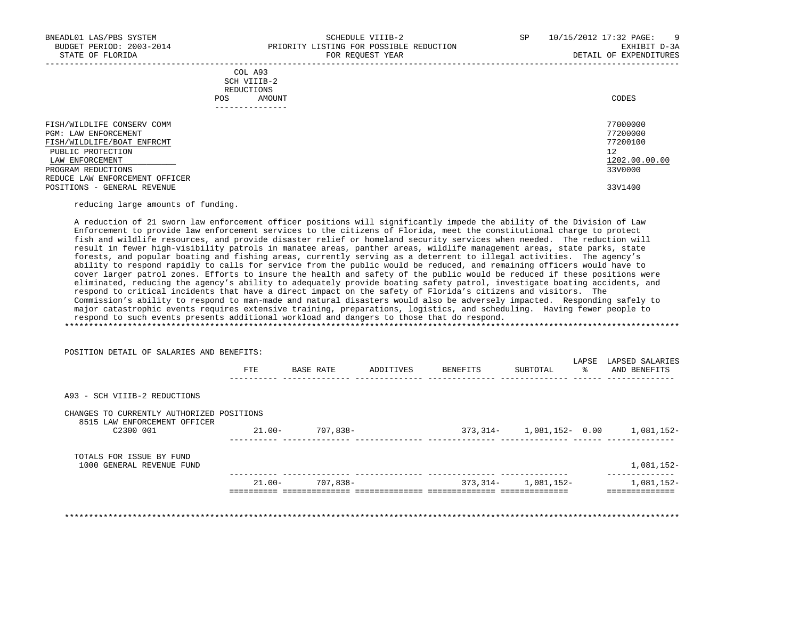-----------------------------------------------------------------------------------------------------------------------------------

|            | _______________ |       |
|------------|-----------------|-------|
| POS        | AMOUNT          | CODES |
| REDUCTIONS |                 |       |
|            | SCH VIIIB-2     |       |
|            | COL A93         |       |

| FISH/WILDLIFE CONSERV COMM                           | 77000000             |
|------------------------------------------------------|----------------------|
| PGM: LAW ENFORCEMENT<br>FISH/WILDLIFE/BOAT ENFRCMT   | 77200000<br>77200100 |
|                                                      | 12                   |
| PUBLIC PROTECTION<br>LAW ENFORCEMENT                 | 1202.00.00.00        |
|                                                      | 33V0000              |
| PROGRAM REDUCTIONS<br>REDUCE LAW ENFORCEMENT OFFICER |                      |
| POSITIONS - GENERAL REVENUE                          | 33V1400              |

reducing large amounts of funding.

POSITION DETAIL OF SALARIES AND BENEFITS:

 A reduction of 21 sworn law enforcement officer positions will significantly impede the ability of the Division of Law Enforcement to provide law enforcement services to the citizens of Florida, meet the constitutional charge to protect fish and wildlife resources, and provide disaster relief or homeland security services when needed. The reduction will result in fewer high-visibility patrols in manatee areas, panther areas, wildlife management areas, state parks, state forests, and popular boating and fishing areas, currently serving as a deterrent to illegal activities. The agency's ability to respond rapidly to calls for service from the public would be reduced, and remaining officers would have to cover larger patrol zones. Efforts to insure the health and safety of the public would be reduced if these positions were eliminated, reducing the agency's ability to adequately provide boating safety patrol, investigate boating accidents, and respond to critical incidents that have a direct impact on the safety of Florida's citizens and visitors. The Commission's ability to respond to man-made and natural disasters would also be adversely impacted. Responding safely to major catastrophic events requires extensive training, preparations, logistics, and scheduling. Having fewer people to respond to such events presents additional workload and dangers to those that do respond. \*\*\*\*\*\*\*\*\*\*\*\*\*\*\*\*\*\*\*\*\*\*\*\*\*\*\*\*\*\*\*\*\*\*\*\*\*\*\*\*\*\*\*\*\*\*\*\*\*\*\*\*\*\*\*\*\*\*\*\*\*\*\*\*\*\*\*\*\*\*\*\*\*\*\*\*\*\*\*\*\*\*\*\*\*\*\*\*\*\*\*\*\*\*\*\*\*\*\*\*\*\*\*\*\*\*\*\*\*\*\*\*\*\*\*\*\*\*\*\*\*\*\*\*\*\*\*

|                                                                           | FTE       | BASE RATE | ADDITIVES | BENEFITS | SUBTOTAL             | LAPSE<br>ႜ | LAPSED SALARIES<br>AND BENEFITS             |
|---------------------------------------------------------------------------|-----------|-----------|-----------|----------|----------------------|------------|---------------------------------------------|
| A93 - SCH VIIIB-2 REDUCTIONS                                              |           |           |           |          |                      |            |                                             |
| CHANGES TO CURRENTLY AUTHORIZED POSITIONS<br>8515 LAW ENFORCEMENT OFFICER |           |           |           |          |                      |            |                                             |
| C2300 001                                                                 | $21.00 -$ | 707,838-  |           |          |                      |            | 373, 314 - 1, 081, 152 - 0.00 1, 081, 152 - |
| TOTALS FOR ISSUE BY FUND<br>1000 GENERAL REVENUE FUND                     |           |           |           |          |                      |            | 1,081,152-                                  |
|                                                                           | $21.00 -$ | 707,838-  |           |          | $373,314-1,081,152-$ |            | 1,081,152-                                  |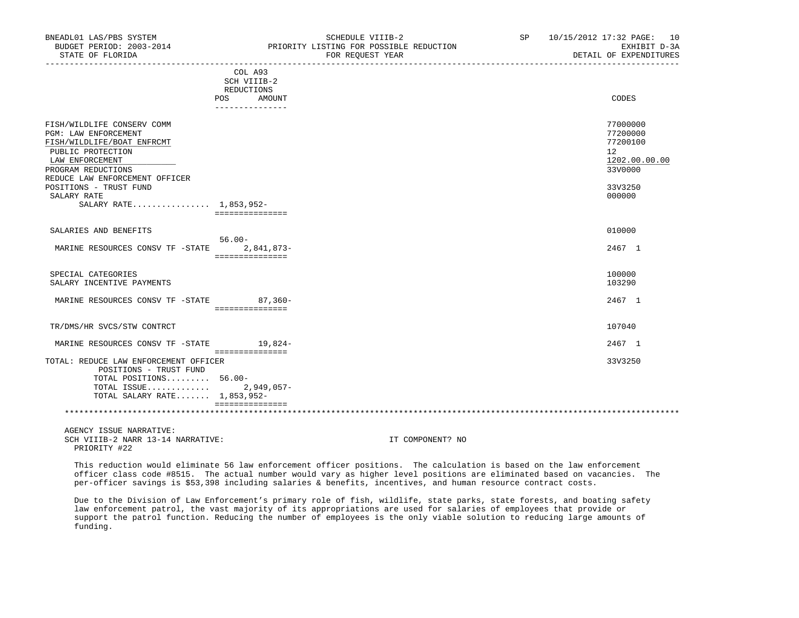|                                                                                                                                                                                                                                                     | COL A93<br>SCH VIIIB-2<br>REDUCTIONS<br>POS<br>AMOUNT<br>--------------- | CODES                                                                                   |
|-----------------------------------------------------------------------------------------------------------------------------------------------------------------------------------------------------------------------------------------------------|--------------------------------------------------------------------------|-----------------------------------------------------------------------------------------|
| FISH/WILDLIFE CONSERV COMM<br>PGM: LAW ENFORCEMENT<br>FISH/WILDLIFE/BOAT ENFRCMT<br>PUBLIC PROTECTION<br>LAW ENFORCEMENT<br>PROGRAM REDUCTIONS<br>REDUCE LAW ENFORCEMENT OFFICER<br>POSITIONS - TRUST FUND<br>SALARY RATE<br>SALARY RATE 1,853,952- | ===============                                                          | 77000000<br>77200000<br>77200100<br>12<br>1202.00.00.00<br>33V0000<br>33V3250<br>000000 |
| SALARIES AND BENEFITS<br>MARINE RESOURCES CONSV TF -STATE                                                                                                                                                                                           | $56.00 -$<br>2,841,873-<br>===============                               | 010000<br>2467 1                                                                        |
| SPECIAL CATEGORIES<br>SALARY INCENTIVE PAYMENTS                                                                                                                                                                                                     |                                                                          | 100000<br>103290                                                                        |
| MARINE RESOURCES CONSV TF -STATE 87,360-                                                                                                                                                                                                            | ===============                                                          | 2467 1                                                                                  |
| TR/DMS/HR SVCS/STW CONTRCT                                                                                                                                                                                                                          |                                                                          | 107040                                                                                  |
| MARINE RESOURCES CONSV TF -STATE                                                                                                                                                                                                                    | 19,824-<br>================                                              | 2467 1                                                                                  |
| TOTAL: REDUCE LAW ENFORCEMENT OFFICER<br>POSITIONS - TRUST FUND<br>TOTAL POSITIONS 56.00-<br>TOTAL ISSUE<br>TOTAL SALARY RATE 1,853,952-                                                                                                            | $2,949,057-$                                                             | 33V3250                                                                                 |
|                                                                                                                                                                                                                                                     |                                                                          |                                                                                         |

 AGENCY ISSUE NARRATIVE: SCH VIIIB-2 NARR 13-14 NARRATIVE: IT COMPONENT? NO PRIORITY #22

 This reduction would eliminate 56 law enforcement officer positions. The calculation is based on the law enforcement officer class code #8515. The actual number would vary as higher level positions are eliminated based on vacancies. The per-officer savings is \$53,398 including salaries & benefits, incentives, and human resource contract costs.

 Due to the Division of Law Enforcement's primary role of fish, wildlife, state parks, state forests, and boating safety law enforcement patrol, the vast majority of its appropriations are used for salaries of employees that provide or support the patrol function. Reducing the number of employees is the only viable solution to reducing large amounts of funding.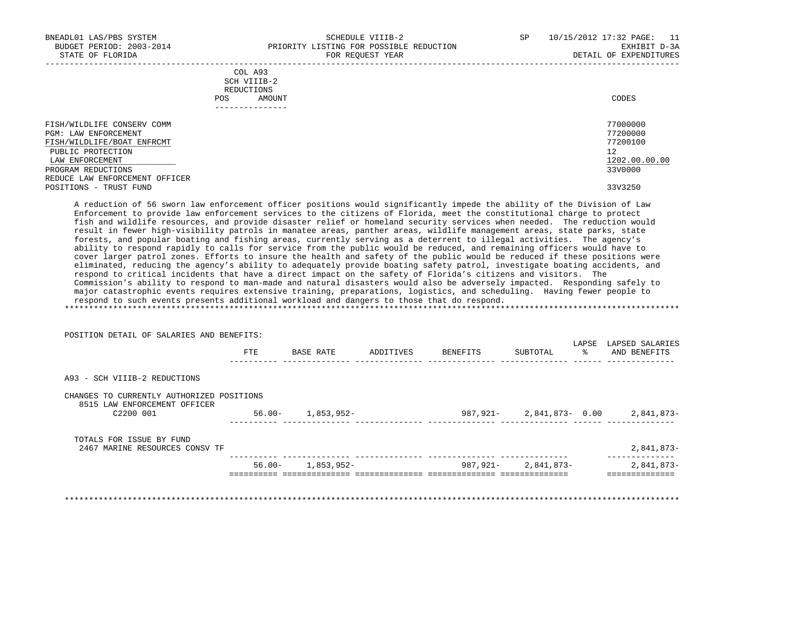-----------------------------------------------------------------------------------------------------------------------------------

|            | _______________ |       |
|------------|-----------------|-------|
| POS        | AMOUNT          | CODES |
| REDUCTIONS |                 |       |
|            | SCH VIIIB-2     |       |
|            | COL A93         |       |

| FISH/WILDLIFE CONSERV COMM     | 77000000      |
|--------------------------------|---------------|
| PGM: LAW ENFORCEMENT           | 77200000      |
| FISH/WILDLIFE/BOAT ENFRCMT     | 77200100      |
| PUBLIC PROTECTION              | 12            |
| LAW ENFORCEMENT                | 1202.00.00.00 |
| PROGRAM REDUCTIONS             | 33V0000       |
| REDUCE LAW ENFORCEMENT OFFICER |               |
| POSITIONS - TRUST FUND         | 33V3250       |

 A reduction of 56 sworn law enforcement officer positions would significantly impede the ability of the Division of Law Enforcement to provide law enforcement services to the citizens of Florida, meet the constitutional charge to protect fish and wildlife resources, and provide disaster relief or homeland security services when needed. The reduction would result in fewer high-visibility patrols in manatee areas, panther areas, wildlife management areas, state parks, state forests, and popular boating and fishing areas, currently serving as a deterrent to illegal activities. The agency's ability to respond rapidly to calls for service from the public would be reduced, and remaining officers would have to cover larger patrol zones. Efforts to insure the health and safety of the public would be reduced if these positions were eliminated, reducing the agency's ability to adequately provide boating safety patrol, investigate boating accidents, and respond to critical incidents that have a direct impact on the safety of Florida's citizens and visitors. The Commission's ability to respond to man-made and natural disasters would also be adversely impacted. Responding safely to major catastrophic events requires extensive training, preparations, logistics, and scheduling. Having fewer people to respond to such events presents additional workload and dangers to those that do respond. \*\*\*\*\*\*\*\*\*\*\*\*\*\*\*\*\*\*\*\*\*\*\*\*\*\*\*\*\*\*\*\*\*\*\*\*\*\*\*\*\*\*\*\*\*\*\*\*\*\*\*\*\*\*\*\*\*\*\*\*\*\*\*\*\*\*\*\*\*\*\*\*\*\*\*\*\*\*\*\*\*\*\*\*\*\*\*\*\*\*\*\*\*\*\*\*\*\*\*\*\*\*\*\*\*\*\*\*\*\*\*\*\*\*\*\*\*\*\*\*\*\*\*\*\*\*\*

|                                                                           | POSITION DETAIL OF SALARIES AND BENEFITS: |            |           |          |                | LAPSE | LAPSED SALARIES |
|---------------------------------------------------------------------------|-------------------------------------------|------------|-----------|----------|----------------|-------|-----------------|
|                                                                           | FTE                                       | BASE RATE  | ADDITIVES | BENEFITS | SUBTOTAL       | ႜ     | AND BENEFITS    |
| A93 - SCH VIIIB-2 REDUCTIONS                                              |                                           |            |           |          |                |       |                 |
| CHANGES TO CURRENTLY AUTHORIZED POSITIONS<br>8515 LAW ENFORCEMENT OFFICER |                                           |            |           |          |                |       |                 |
| C2200 001                                                                 | $56.00 -$                                 | 1,853,952- |           | 987,921- | 2,841,873-0.00 |       | 2,841,873-      |
| TOTALS FOR ISSUE BY FUND                                                  |                                           |            |           |          |                |       |                 |
| 2467 MARINE RESOURCES CONSV TF                                            |                                           |            |           |          |                |       | 2,841,873-      |
|                                                                           | $56.00 -$                                 | 1,853,952- |           | 987,921- | 2,841,873-     |       | 2,841,873-      |

POSITION DETAIL OF SALARIES AND BENEFITS: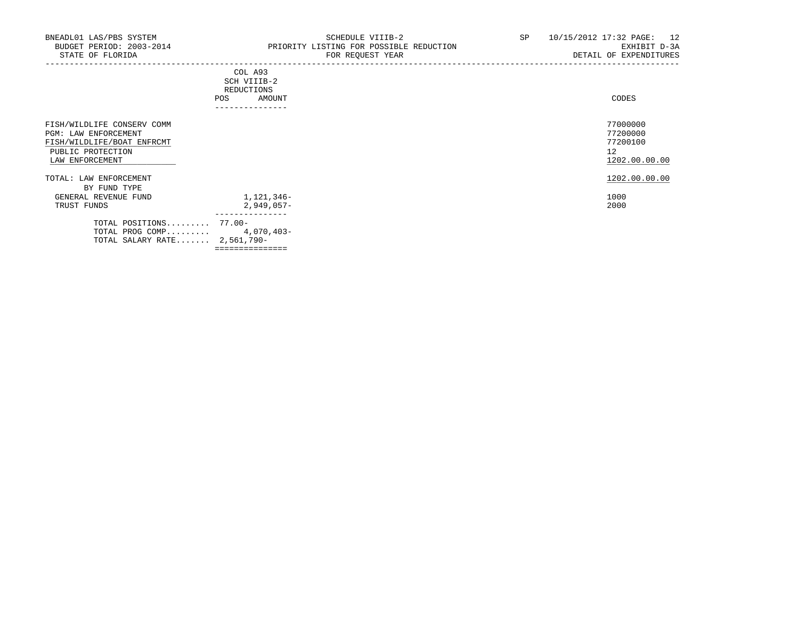|                                                                                                                                 | COL A93<br>SCH VIIIB-2<br>REDUCTIONS<br>AMOUNT<br><b>POS</b><br>---------------- | CODES                                                   |
|---------------------------------------------------------------------------------------------------------------------------------|----------------------------------------------------------------------------------|---------------------------------------------------------|
| FISH/WILDLIFE CONSERV COMM<br><b>PGM: LAW ENFORCEMENT</b><br>FISH/WILDLIFE/BOAT ENFRCMT<br>PUBLIC PROTECTION<br>LAW ENFORCEMENT |                                                                                  | 77000000<br>77200000<br>77200100<br>12<br>1202.00.00.00 |
| TOTAL: LAW ENFORCEMENT<br>BY FUND TYPE                                                                                          |                                                                                  | 1202.00.00.00                                           |
| GENERAL REVENUE FUND<br>TRUST FUNDS                                                                                             | 1,121,346-<br>$2,949,057-$                                                       | 1000<br>2000                                            |
| TOTAL POSITIONS 77.00-<br>TOTAL PROG COMP 4,070,403-<br>TOTAL SALARY RATE 2,561,790-                                            | ---------------<br>===============                                               |                                                         |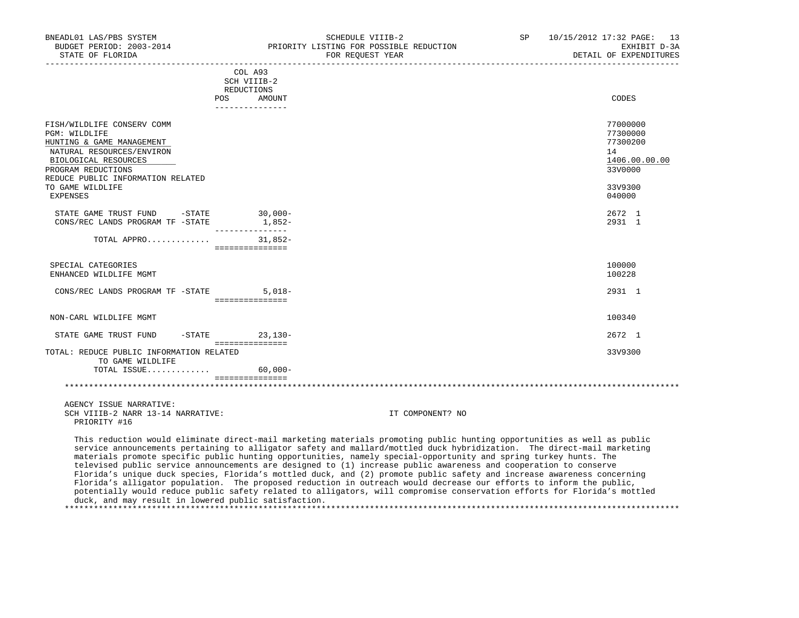| BNEADL01 LAS/PBS SYSTEM<br>BUDGET PERIOD: 2003-2014<br>STATE OF FLORIDA                                                                             | SCHEDULE VIIIB-2<br>PRIORITY LISTING FOR POSSIBLE REDUCTION<br>FOR REOUEST YEAR | SP                                                                                                                                                                                                                                                                                                                                                                                                                                                                                                                                                                                                                                                                                                                                         | 10/15/2012 17:32 PAGE: 13<br>EXHIBIT D-3A<br>DETAIL OF EXPENDITURES |
|-----------------------------------------------------------------------------------------------------------------------------------------------------|---------------------------------------------------------------------------------|--------------------------------------------------------------------------------------------------------------------------------------------------------------------------------------------------------------------------------------------------------------------------------------------------------------------------------------------------------------------------------------------------------------------------------------------------------------------------------------------------------------------------------------------------------------------------------------------------------------------------------------------------------------------------------------------------------------------------------------------|---------------------------------------------------------------------|
|                                                                                                                                                     | COL A93<br>SCH VIIIB-2<br>REDUCTIONS<br>POS DO<br>AMOUNT                        |                                                                                                                                                                                                                                                                                                                                                                                                                                                                                                                                                                                                                                                                                                                                            | CODES                                                               |
|                                                                                                                                                     | ----------------                                                                |                                                                                                                                                                                                                                                                                                                                                                                                                                                                                                                                                                                                                                                                                                                                            |                                                                     |
| FISH/WILDLIFE CONSERV COMM<br>PGM: WILDLIFE<br>HUNTING & GAME MANAGEMENT<br>NATURAL RESOURCES/ENVIRON<br>BIOLOGICAL RESOURCES<br>PROGRAM REDUCTIONS |                                                                                 |                                                                                                                                                                                                                                                                                                                                                                                                                                                                                                                                                                                                                                                                                                                                            | 77000000<br>77300000<br>77300200<br>14<br>1406.00.00.00<br>33V0000  |
| REDUCE PUBLIC INFORMATION RELATED<br>TO GAME WILDLIFE<br>EXPENSES                                                                                   |                                                                                 |                                                                                                                                                                                                                                                                                                                                                                                                                                                                                                                                                                                                                                                                                                                                            | 33V9300<br>040000                                                   |
| STATE GAME TRUST FUND - STATE<br>CONS/REC LANDS PROGRAM TF -STATE                                                                                   | $30,000 -$<br>$1,852-$<br>________________                                      |                                                                                                                                                                                                                                                                                                                                                                                                                                                                                                                                                                                                                                                                                                                                            | 2672 1<br>2931 1                                                    |
| TOTAL APPRO $31,852-$                                                                                                                               | ================                                                                |                                                                                                                                                                                                                                                                                                                                                                                                                                                                                                                                                                                                                                                                                                                                            |                                                                     |
| SPECIAL CATEGORIES<br>ENHANCED WILDLIFE MGMT                                                                                                        |                                                                                 |                                                                                                                                                                                                                                                                                                                                                                                                                                                                                                                                                                                                                                                                                                                                            | 100000<br>100228                                                    |
| CONS/REC LANDS PROGRAM TF -STATE                                                                                                                    | $5,018-$<br>===============                                                     |                                                                                                                                                                                                                                                                                                                                                                                                                                                                                                                                                                                                                                                                                                                                            | 2931 1                                                              |
| NON-CARL WILDLIFE MGMT                                                                                                                              |                                                                                 |                                                                                                                                                                                                                                                                                                                                                                                                                                                                                                                                                                                                                                                                                                                                            | 100340                                                              |
|                                                                                                                                                     |                                                                                 |                                                                                                                                                                                                                                                                                                                                                                                                                                                                                                                                                                                                                                                                                                                                            |                                                                     |
| STATE GAME TRUST FUND                                                                                                                               | $-STATE$ 23, 130-<br>===============                                            |                                                                                                                                                                                                                                                                                                                                                                                                                                                                                                                                                                                                                                                                                                                                            | 2672 1                                                              |
| TOTAL: REDUCE PUBLIC INFORMATION RELATED<br>TO GAME WILDLIFE                                                                                        |                                                                                 |                                                                                                                                                                                                                                                                                                                                                                                                                                                                                                                                                                                                                                                                                                                                            | 33V9300                                                             |
| TOTAL ISSUE                                                                                                                                         | $60.000 -$                                                                      |                                                                                                                                                                                                                                                                                                                                                                                                                                                                                                                                                                                                                                                                                                                                            |                                                                     |
|                                                                                                                                                     | <b>EEEEEEEEEEEEEE</b>                                                           |                                                                                                                                                                                                                                                                                                                                                                                                                                                                                                                                                                                                                                                                                                                                            |                                                                     |
| AGENCY ISSUE NARRATIVE:<br>SCH VIIIB-2 NARR 13-14 NARRATIVE:<br>PRIORITY #16                                                                        |                                                                                 | IT COMPONENT? NO                                                                                                                                                                                                                                                                                                                                                                                                                                                                                                                                                                                                                                                                                                                           |                                                                     |
|                                                                                                                                                     |                                                                                 | This reduction would eliminate direct-mail marketing materials promoting public hunting opportunities as well as public<br>service announcements pertaining to alligator safety and mallard/mottled duck hybridization. The direct-mail marketing<br>materials promote specific public hunting opportunities, namely special-opportunity and spring turkey hunts. The<br>televised public service announcements are designed to (1) increase public awareness and cooperation to conserve<br>Florida's unique duck species, Florida's mottled duck, and (2) promote public safety and increase awareness concerning<br>Florida's alligator population. The proposed reduction in outreach would decrease our efforts to inform the public, |                                                                     |

 potentially would reduce public safety related to alligators, will compromise conservation efforts for Florida's mottled duck, and may result in lowered public satisfaction.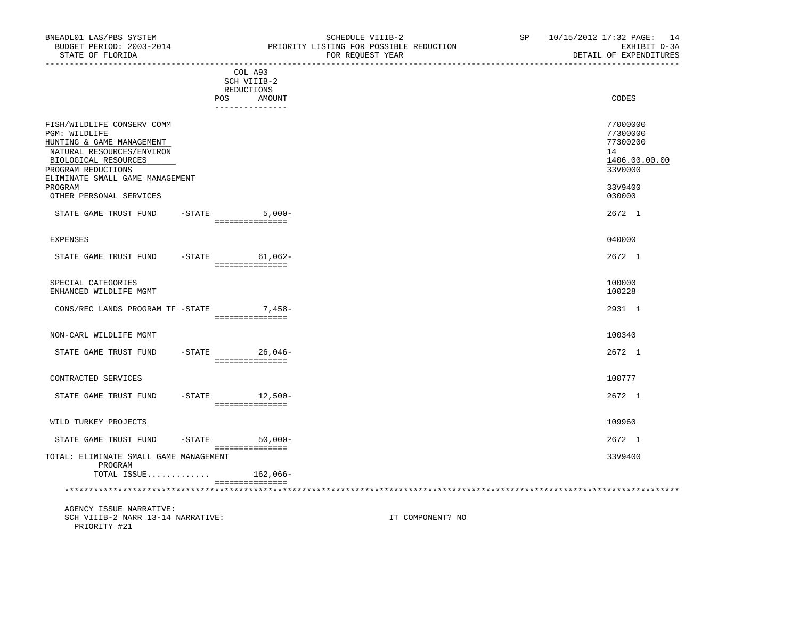-----------------------------------------------------------------------------------------------------------------------------------

COL A93

|                                                                                                                                                                                        |           | SCH VIIIB-2                                     |                                                                    |
|----------------------------------------------------------------------------------------------------------------------------------------------------------------------------------------|-----------|-------------------------------------------------|--------------------------------------------------------------------|
|                                                                                                                                                                                        |           | REDUCTIONS<br>POS.<br>AMOUNT<br>--------------- | CODES                                                              |
| FISH/WILDLIFE CONSERV COMM<br>PGM: WILDLIFE<br>HUNTING & GAME MANAGEMENT<br>NATURAL RESOURCES/ENVIRON<br>BIOLOGICAL RESOURCES<br>PROGRAM REDUCTIONS<br>ELIMINATE SMALL GAME MANAGEMENT |           |                                                 | 77000000<br>77300000<br>77300200<br>14<br>1406.00.00.00<br>33V0000 |
| PROGRAM<br>OTHER PERSONAL SERVICES                                                                                                                                                     |           |                                                 | 33V9400<br>030000                                                  |
| STATE GAME TRUST FUND                                                                                                                                                                  |           | $-STATE$<br>$5,000-$<br>===============         | 2672 1                                                             |
| <b>EXPENSES</b>                                                                                                                                                                        |           |                                                 | 040000                                                             |
| STATE GAME TRUST FUND                                                                                                                                                                  |           | $-STATE$<br>$61,062-$<br>===============        | 2672 1                                                             |
| SPECIAL CATEGORIES<br>ENHANCED WILDLIFE MGMT                                                                                                                                           |           |                                                 | 100000<br>100228                                                   |
| CONS/REC LANDS PROGRAM TF -STATE                                                                                                                                                       |           | 7,458-<br>===============                       | 2931 1                                                             |
| NON-CARL WILDLIFE MGMT                                                                                                                                                                 |           |                                                 | 100340                                                             |
| STATE GAME TRUST FUND                                                                                                                                                                  |           | $-$ STATE<br>$26,046-$<br>===============       | 2672 1                                                             |
| CONTRACTED SERVICES                                                                                                                                                                    |           |                                                 | 100777                                                             |
| STATE GAME TRUST FUND                                                                                                                                                                  | $-$ STATE | 12,500-<br>===============                      | 2672 1                                                             |
| WILD TURKEY PROJECTS                                                                                                                                                                   |           |                                                 | 109960                                                             |
| STATE GAME TRUST FUND                                                                                                                                                                  | $-$ STATE | $50,000 -$<br>===============                   | 2672 1                                                             |
| TOTAL: ELIMINATE SMALL GAME MANAGEMENT<br>PROGRAM                                                                                                                                      |           |                                                 | 33V9400                                                            |
| TOTAL ISSUE                                                                                                                                                                            |           | 162,066-<br>===============                     |                                                                    |
|                                                                                                                                                                                        |           |                                                 |                                                                    |

 AGENCY ISSUE NARRATIVE: SCH VIIIB-2 NARR 13-14 NARRATIVE: IT COMPONENT? NO PRIORITY #21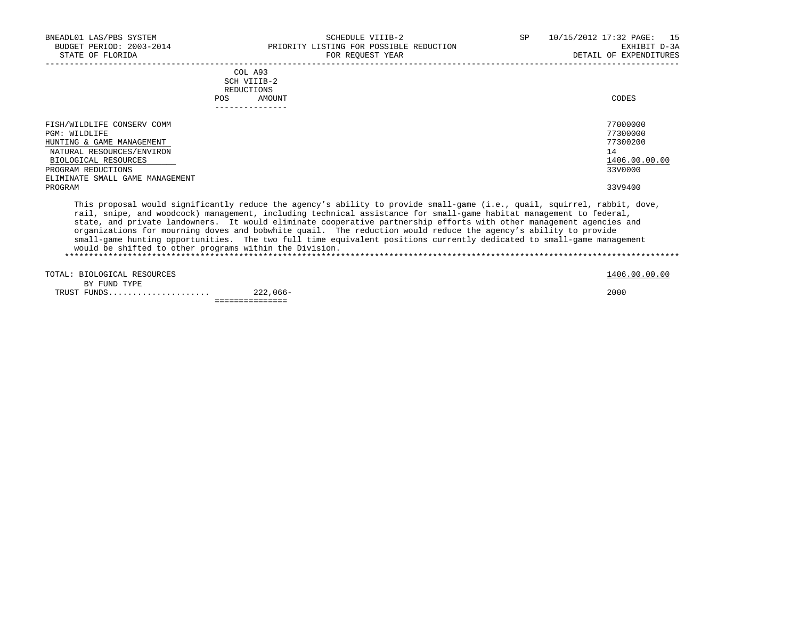| BNEADL01 LAS/PBS SYSTEM<br>BUDGET PERIOD: 2003-2014                                                                                                                                               |                                                              | SCHEDULE VIIIB-2<br>PRIORITY LISTING FOR POSSIBLE REDUCTION                                                                                                                                                                                                                                                                                                                                                                                                                                                                                                                                                          | SP | 10/15/2012 17:32 PAGE:<br>15<br>EXHIBIT D-3A                                  |
|---------------------------------------------------------------------------------------------------------------------------------------------------------------------------------------------------|--------------------------------------------------------------|----------------------------------------------------------------------------------------------------------------------------------------------------------------------------------------------------------------------------------------------------------------------------------------------------------------------------------------------------------------------------------------------------------------------------------------------------------------------------------------------------------------------------------------------------------------------------------------------------------------------|----|-------------------------------------------------------------------------------|
| STATE OF FLORIDA                                                                                                                                                                                  |                                                              | FOR REQUEST YEAR                                                                                                                                                                                                                                                                                                                                                                                                                                                                                                                                                                                                     |    | DETAIL OF EXPENDITURES                                                        |
|                                                                                                                                                                                                   | COL A93<br>SCH VIIIB-2<br>REDUCTIONS<br><b>POS</b><br>AMOUNT |                                                                                                                                                                                                                                                                                                                                                                                                                                                                                                                                                                                                                      |    | CODES                                                                         |
| FISH/WILDLIFE CONSERV COMM<br>PGM: WILDLIFE<br>HUNTING & GAME MANAGEMENT<br>NATURAL RESOURCES/ENVIRON<br>BIOLOGICAL RESOURCES<br>PROGRAM REDUCTIONS<br>ELIMINATE SMALL GAME MANAGEMENT<br>PROGRAM |                                                              |                                                                                                                                                                                                                                                                                                                                                                                                                                                                                                                                                                                                                      |    | 77000000<br>77300000<br>77300200<br>14<br>1406.00.00.00<br>33V0000<br>33V9400 |
|                                                                                                                                                                                                   |                                                              | This proposal would significantly reduce the agency's ability to provide small-game (i.e., quail, squirrel, rabbit, dove,<br>rail, snipe, and woodcock) management, including technical assistance for small-game habitat management to federal,<br>state, and private landowners. It would eliminate cooperative partnership efforts with other management agencies and<br>organizations for mourning doves and bobwhite quail. The reduction would reduce the agency's ability to provide<br>small-game hunting opportunities. The two full time equivalent positions currently dedicated to small-game management |    |                                                                               |

would be shifted to other programs within the Division.

|                             | _ _ _ _ _ _ _ _ _ _ _ _ |               |
|-----------------------------|-------------------------|---------------|
| TRUST FUNDS                 | $222,066-$              | 2000          |
| BY FUND TYPE                |                         |               |
| TOTAL: BIOLOGICAL RESOURCES |                         | 1406.00.00.00 |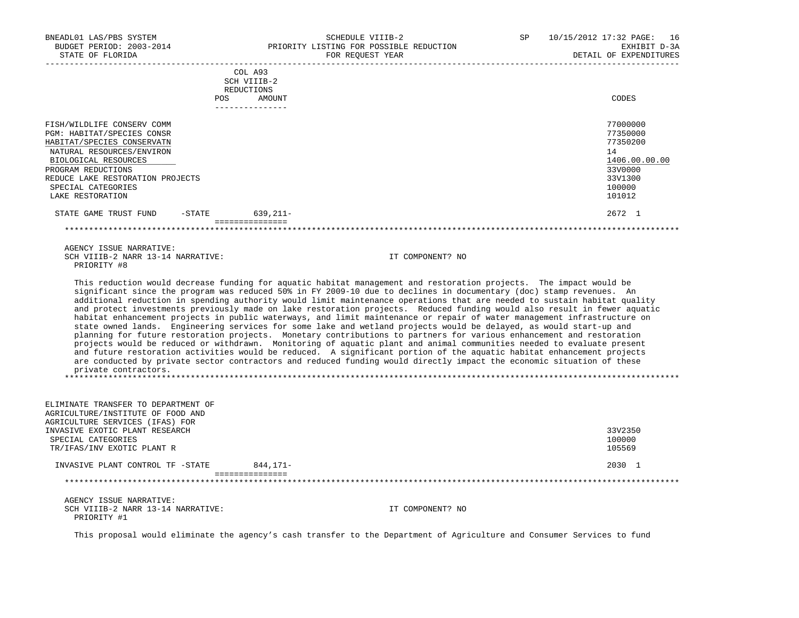| BNEADL01 LAS/PBS SYSTEM<br>BUDGET PERIOD: 2003-2014<br>STATE OF FLORIDA                                                                                                                                                                         |            | SCHEDULE VIIIB-2<br>PRIORITY LISTING FOR POSSIBLE REDUCTION<br>FOR REOUEST YEAR                                                                                                                                                                                                                                                                                                                                                                                                                                                                                                                                                                                                                                                                                                                                                                                                                                                                                                                                                                                                                                                 | SP<br>10/15/2012 17:32 PAGE:<br>16<br>EXHIBIT D-3A<br>DETAIL OF EXPENDITURES                      |
|-------------------------------------------------------------------------------------------------------------------------------------------------------------------------------------------------------------------------------------------------|------------|---------------------------------------------------------------------------------------------------------------------------------------------------------------------------------------------------------------------------------------------------------------------------------------------------------------------------------------------------------------------------------------------------------------------------------------------------------------------------------------------------------------------------------------------------------------------------------------------------------------------------------------------------------------------------------------------------------------------------------------------------------------------------------------------------------------------------------------------------------------------------------------------------------------------------------------------------------------------------------------------------------------------------------------------------------------------------------------------------------------------------------|---------------------------------------------------------------------------------------------------|
|                                                                                                                                                                                                                                                 | REDUCTIONS | COL A93<br>SCH VIIIB-2                                                                                                                                                                                                                                                                                                                                                                                                                                                                                                                                                                                                                                                                                                                                                                                                                                                                                                                                                                                                                                                                                                          |                                                                                                   |
|                                                                                                                                                                                                                                                 | POS        | AMOUNT<br>---------------                                                                                                                                                                                                                                                                                                                                                                                                                                                                                                                                                                                                                                                                                                                                                                                                                                                                                                                                                                                                                                                                                                       | CODES                                                                                             |
| FISH/WILDLIFE CONSERV COMM<br>PGM: HABITAT/SPECIES CONSR<br>HABITAT/SPECIES CONSERVATN<br>NATURAL RESOURCES/ENVIRON<br>BIOLOGICAL RESOURCES<br>PROGRAM REDUCTIONS<br>REDUCE LAKE RESTORATION PROJECTS<br>SPECIAL CATEGORIES<br>LAKE RESTORATION |            |                                                                                                                                                                                                                                                                                                                                                                                                                                                                                                                                                                                                                                                                                                                                                                                                                                                                                                                                                                                                                                                                                                                                 | 77000000<br>77350000<br>77350200<br>14<br>1406.00.00.00<br>33V0000<br>33V1300<br>100000<br>101012 |
| STATE GAME TRUST FUND                                                                                                                                                                                                                           | -STATE     | 639,211-<br>===============                                                                                                                                                                                                                                                                                                                                                                                                                                                                                                                                                                                                                                                                                                                                                                                                                                                                                                                                                                                                                                                                                                     | 2672 1                                                                                            |
|                                                                                                                                                                                                                                                 |            |                                                                                                                                                                                                                                                                                                                                                                                                                                                                                                                                                                                                                                                                                                                                                                                                                                                                                                                                                                                                                                                                                                                                 |                                                                                                   |
| AGENCY ISSUE NARRATIVE:<br>SCH VIIIB-2 NARR 13-14 NARRATIVE:<br>PRIORITY #8                                                                                                                                                                     |            | IT COMPONENT? NO<br>This reduction would decrease funding for aquatic habitat management and restoration projects. The impact would be                                                                                                                                                                                                                                                                                                                                                                                                                                                                                                                                                                                                                                                                                                                                                                                                                                                                                                                                                                                          |                                                                                                   |
| private contractors.                                                                                                                                                                                                                            |            | significant since the program was reduced 50% in FY 2009-10 due to declines in documentary (doc) stamp revenues. An<br>additional reduction in spending authority would limit maintenance operations that are needed to sustain habitat quality<br>and protect investments previously made on lake restoration projects. Reduced funding would also result in fewer aquatic<br>habitat enhancement projects in public waterways, and limit maintenance or repair of water management infrastructure on<br>state owned lands. Engineering services for some lake and wetland projects would be delayed, as would start-up and<br>planning for future restoration projects. Monetary contributions to partners for various enhancement and restoration<br>projects would be reduced or withdrawn. Monitoring of aquatic plant and animal communities needed to evaluate present<br>and future restoration activities would be reduced. A significant portion of the aquatic habitat enhancement projects<br>are conducted by private sector contractors and reduced funding would directly impact the economic situation of these |                                                                                                   |
| ELIMINATE TRANSFER TO DEPARTMENT OF<br>AGRICULTURE/INSTITUTE OF FOOD AND                                                                                                                                                                        |            |                                                                                                                                                                                                                                                                                                                                                                                                                                                                                                                                                                                                                                                                                                                                                                                                                                                                                                                                                                                                                                                                                                                                 |                                                                                                   |
| AGRICULTURE SERVICES (IFAS) FOR<br>INVASIVE EXOTIC PLANT RESEARCH<br>SPECIAL CATEGORIES<br>TR/IFAS/INV EXOTIC PLANT R                                                                                                                           |            |                                                                                                                                                                                                                                                                                                                                                                                                                                                                                                                                                                                                                                                                                                                                                                                                                                                                                                                                                                                                                                                                                                                                 | 33V2350<br>100000<br>105569                                                                       |
| INVASIVE PLANT CONTROL TF -STATE                                                                                                                                                                                                                |            | 844,171-                                                                                                                                                                                                                                                                                                                                                                                                                                                                                                                                                                                                                                                                                                                                                                                                                                                                                                                                                                                                                                                                                                                        | 2030 1                                                                                            |
|                                                                                                                                                                                                                                                 |            | ================                                                                                                                                                                                                                                                                                                                                                                                                                                                                                                                                                                                                                                                                                                                                                                                                                                                                                                                                                                                                                                                                                                                |                                                                                                   |
| AGENCY ISSUE NARRATIVE:<br>SCH VIIIB-2 NARR 13-14 NARRATIVE:<br>PRIORITY #1                                                                                                                                                                     |            | IT COMPONENT? NO                                                                                                                                                                                                                                                                                                                                                                                                                                                                                                                                                                                                                                                                                                                                                                                                                                                                                                                                                                                                                                                                                                                |                                                                                                   |

This proposal would eliminate the agency's cash transfer to the Department of Agriculture and Consumer Services to fund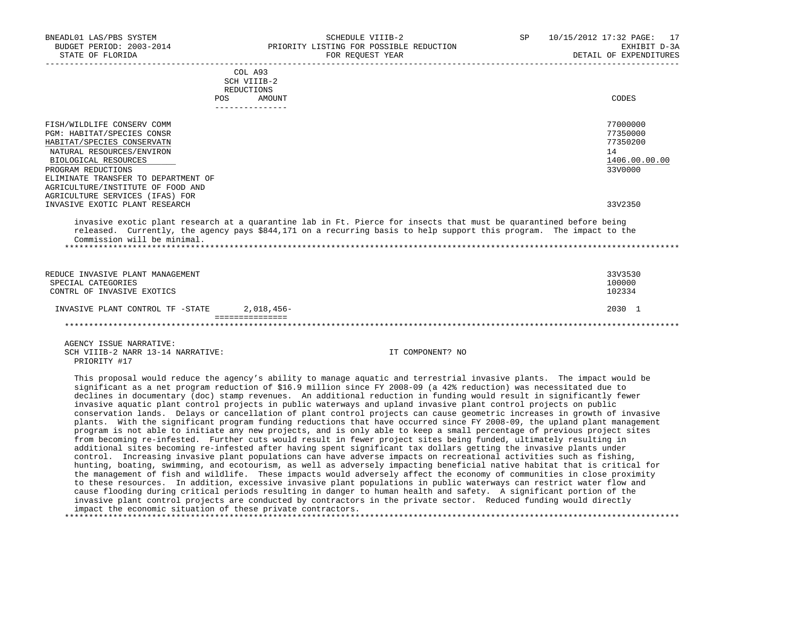| BNEADL01 LAS/PBS SYSTEM             | SCHEDULE VIIIB-2                                                                                                                                                                                                                          | SP               | 10/15/2012 17:32 PAGE: 17 |
|-------------------------------------|-------------------------------------------------------------------------------------------------------------------------------------------------------------------------------------------------------------------------------------------|------------------|---------------------------|
| BUDGET PERIOD: 2003-2014            | PRIORITY LISTING FOR POSSIBLE REDUCTION                                                                                                                                                                                                   |                  | EXHIBIT D-3A              |
| STATE OF FLORIDA                    | FOR REQUEST YEAR                                                                                                                                                                                                                          |                  | DETAIL OF EXPENDITURES    |
|                                     | COL A93                                                                                                                                                                                                                                   |                  |                           |
|                                     | SCH VIIIB-2                                                                                                                                                                                                                               |                  |                           |
|                                     | REDUCTIONS                                                                                                                                                                                                                                |                  |                           |
|                                     | <b>POS</b><br>AMOUNT                                                                                                                                                                                                                      |                  | CODES                     |
|                                     |                                                                                                                                                                                                                                           |                  |                           |
| FISH/WILDLIFE CONSERV COMM          |                                                                                                                                                                                                                                           |                  | 77000000                  |
| PGM: HABITAT/SPECIES CONSR          |                                                                                                                                                                                                                                           |                  | 77350000                  |
| HABITAT/SPECIES CONSERVATN          |                                                                                                                                                                                                                                           |                  | 77350200                  |
| NATURAL RESOURCES/ENVIRON           |                                                                                                                                                                                                                                           |                  | 14                        |
| BIOLOGICAL RESOURCES                |                                                                                                                                                                                                                                           |                  | 1406.00.00.00             |
| PROGRAM REDUCTIONS                  |                                                                                                                                                                                                                                           |                  | 33V0000                   |
| ELIMINATE TRANSFER TO DEPARTMENT OF |                                                                                                                                                                                                                                           |                  |                           |
| AGRICULTURE/INSTITUTE OF FOOD AND   |                                                                                                                                                                                                                                           |                  |                           |
| AGRICULTURE SERVICES (IFAS) FOR     |                                                                                                                                                                                                                                           |                  |                           |
| INVASIVE EXOTIC PLANT RESEARCH      |                                                                                                                                                                                                                                           |                  | 33V2350                   |
|                                     | invasive exotic plant research at a quarantine lab in Ft. Pierce for insects that must be quarantined before being<br>released. Currently, the agency pays \$844,171 on a recurring basis to help support this program. The impact to the |                  |                           |
| Commission will be minimal.         |                                                                                                                                                                                                                                           |                  |                           |
|                                     |                                                                                                                                                                                                                                           |                  |                           |
|                                     |                                                                                                                                                                                                                                           |                  |                           |
| REDUCE INVASIVE PLANT MANAGEMENT    |                                                                                                                                                                                                                                           |                  | 33V3530                   |
| SPECIAL CATEGORIES                  |                                                                                                                                                                                                                                           |                  | 100000                    |
| CONTRL OF INVASIVE EXOTICS          |                                                                                                                                                                                                                                           |                  | 102334                    |
|                                     |                                                                                                                                                                                                                                           |                  |                           |
| INVASIVE PLANT CONTROL TF -STATE    | 2,018,456-                                                                                                                                                                                                                                |                  | 2030 1                    |
|                                     | ===============                                                                                                                                                                                                                           |                  |                           |
|                                     |                                                                                                                                                                                                                                           |                  |                           |
| AGENCY ISSUE NARRATIVE:             |                                                                                                                                                                                                                                           |                  |                           |
| SCH VIIIB-2 NARR 13-14 NARRATIVE:   |                                                                                                                                                                                                                                           | IT COMPONENT? NO |                           |
| PRIORITY #17                        |                                                                                                                                                                                                                                           |                  |                           |
|                                     | mble concert control or formation in the state of a concert concelled and according the called of case of fine as control to                                                                                                              |                  |                           |

 This proposal would reduce the agency's ability to manage aquatic and terrestrial invasive plants. The impact would be significant as a net program reduction of \$16.9 million since FY 2008-09 (a 42% reduction) was necessitated due to declines in documentary (doc) stamp revenues. An additional reduction in funding would result in significantly fewer invasive aquatic plant control projects in public waterways and upland invasive plant control projects on public conservation lands. Delays or cancellation of plant control projects can cause geometric increases in growth of invasive plants. With the significant program funding reductions that have occurred since FY 2008-09, the upland plant management program is not able to initiate any new projects, and is only able to keep a small percentage of previous project sites from becoming re-infested. Further cuts would result in fewer project sites being funded, ultimately resulting in additional sites becoming re-infested after having spent significant tax dollars getting the invasive plants under control. Increasing invasive plant populations can have adverse impacts on recreational activities such as fishing, hunting, boating, swimming, and ecotourism, as well as adversely impacting beneficial native habitat that is critical for the management of fish and wildlife. These impacts would adversely affect the economy of communities in close proximity to these resources. In addition, excessive invasive plant populations in public waterways can restrict water flow and cause flooding during critical periods resulting in danger to human health and safety. A significant portion of the invasive plant control projects are conducted by contractors in the private sector. Reduced funding would directly impact the economic situation of these private contractors. \*\*\*\*\*\*\*\*\*\*\*\*\*\*\*\*\*\*\*\*\*\*\*\*\*\*\*\*\*\*\*\*\*\*\*\*\*\*\*\*\*\*\*\*\*\*\*\*\*\*\*\*\*\*\*\*\*\*\*\*\*\*\*\*\*\*\*\*\*\*\*\*\*\*\*\*\*\*\*\*\*\*\*\*\*\*\*\*\*\*\*\*\*\*\*\*\*\*\*\*\*\*\*\*\*\*\*\*\*\*\*\*\*\*\*\*\*\*\*\*\*\*\*\*\*\*\*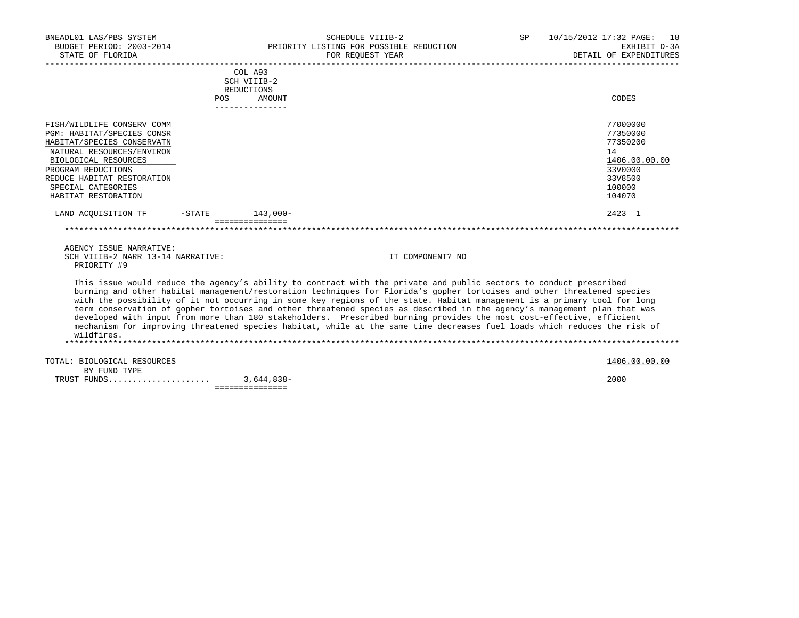| BNEADL01 LAS/PBS SYSTEM<br>BUDGET PERIOD: 2003-2014<br>STATE OF FLORIDA                                                                                                                                                                      |                      |                                                                   | <b>SCHEDULE VIIIB-2</b><br>PRIORITY LISTING FOR POSSIBLE REDUCTION<br>FOR REOUEST YEAR                                                                                                                                                                                                                                                                                                                                                                                                                                                                                                                                                                                                                                                                     | SP. | 10/15/2012 17:32 PAGE: 18<br>EXHIBIT D-3A<br>DETAIL OF EXPENDITURES                               |
|----------------------------------------------------------------------------------------------------------------------------------------------------------------------------------------------------------------------------------------------|----------------------|-------------------------------------------------------------------|------------------------------------------------------------------------------------------------------------------------------------------------------------------------------------------------------------------------------------------------------------------------------------------------------------------------------------------------------------------------------------------------------------------------------------------------------------------------------------------------------------------------------------------------------------------------------------------------------------------------------------------------------------------------------------------------------------------------------------------------------------|-----|---------------------------------------------------------------------------------------------------|
|                                                                                                                                                                                                                                              | POS                  | COL A93<br>SCH VIIIB-2<br>REDUCTIONS<br>AMOUNT<br>--------------- |                                                                                                                                                                                                                                                                                                                                                                                                                                                                                                                                                                                                                                                                                                                                                            |     | CODES                                                                                             |
| FISH/WILDLIFE CONSERV COMM<br>PGM: HABITAT/SPECIES CONSR<br>HABITAT/SPECIES CONSERVATN<br>NATURAL RESOURCES/ENVIRON<br>BIOLOGICAL RESOURCES<br>PROGRAM REDUCTIONS<br>REDUCE HABITAT RESTORATION<br>SPECIAL CATEGORIES<br>HABITAT RESTORATION |                      |                                                                   |                                                                                                                                                                                                                                                                                                                                                                                                                                                                                                                                                                                                                                                                                                                                                            |     | 77000000<br>77350000<br>77350200<br>14<br>1406.00.00.00<br>33V0000<br>33V8500<br>100000<br>104070 |
| LAND ACOUISITION TF                                                                                                                                                                                                                          | $-$ STATE $143.000-$ | ===============                                                   |                                                                                                                                                                                                                                                                                                                                                                                                                                                                                                                                                                                                                                                                                                                                                            |     | 2423 1                                                                                            |
| AGENCY ISSUE NARRATIVE:<br>SCH VIIIB-2 NARR 13-14 NARRATIVE:<br>PRIORITY #9                                                                                                                                                                  |                      |                                                                   | IT COMPONENT? NO                                                                                                                                                                                                                                                                                                                                                                                                                                                                                                                                                                                                                                                                                                                                           |     |                                                                                                   |
| wildfires.                                                                                                                                                                                                                                   |                      |                                                                   | This issue would reduce the agency's ability to contract with the private and public sectors to conduct prescribed<br>burning and other habitat management/restoration techniques for Florida's gopher tortoises and other threatened species<br>with the possibility of it not occurring in some key regions of the state. Habitat management is a primary tool for long<br>term conservation of gopher tortoises and other threatened species as described in the agency's management plan that was<br>developed with input from more than 180 stakeholders. Prescribed burning provides the most cost-effective, efficient<br>mechanism for improving threatened species habitat, while at the same time decreases fuel loads which reduces the risk of |     |                                                                                                   |
| TOTAL: BIOLOGICAL RESOURCES<br>BY FUND TYPE                                                                                                                                                                                                  |                      |                                                                   |                                                                                                                                                                                                                                                                                                                                                                                                                                                                                                                                                                                                                                                                                                                                                            |     | 1406.00.00.00                                                                                     |

 TRUST FUNDS..................... 3,644,838- 2000 ===============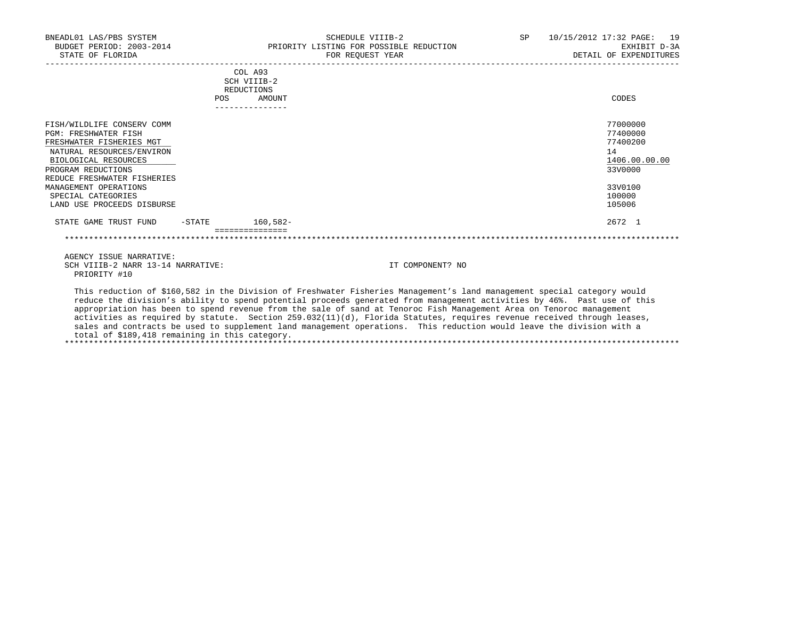| BNEADL01 LAS/PBS SYSTEM<br>BUDGET PERIOD: 2003-2014<br>STATE OF FLORIDA                                                                                                                                                                                                      |     |                                                                   | SCHEDULE VIIIB-2<br>PRIORITY LISTING FOR POSSIBLE REDUCTION<br>FOR REQUEST YEAR | SP | 10/15/2012 17:32 PAGE: 19<br>EXHIBIT D-3A<br>DETAIL OF EXPENDITURES                               |
|------------------------------------------------------------------------------------------------------------------------------------------------------------------------------------------------------------------------------------------------------------------------------|-----|-------------------------------------------------------------------|---------------------------------------------------------------------------------|----|---------------------------------------------------------------------------------------------------|
|                                                                                                                                                                                                                                                                              | POS | COL A93<br>SCH VIIIB-2<br>REDUCTIONS<br>AMOUNT<br>--------------- |                                                                                 |    | CODES                                                                                             |
| FISH/WILDLIFE CONSERV COMM<br><b>PGM: FRESHWATER FISH</b><br>FRESHWATER FISHERIES MGT<br>NATURAL RESOURCES/ENVIRON<br>BIOLOGICAL RESOURCES<br>PROGRAM REDUCTIONS<br>REDUCE FRESHWATER FISHERIES<br>MANAGEMENT OPERATIONS<br>SPECIAL CATEGORIES<br>LAND USE PROCEEDS DISBURSE |     |                                                                   |                                                                                 |    | 77000000<br>77400000<br>77400200<br>14<br>1406.00.00.00<br>33V0000<br>33V0100<br>100000<br>105006 |
| STATE GAME TRUST FUND<br>$-$ STATE                                                                                                                                                                                                                                           |     | $160,582-$                                                        |                                                                                 |    | 2672 1                                                                                            |
|                                                                                                                                                                                                                                                                              |     |                                                                   |                                                                                 |    |                                                                                                   |
| AGENCY ISSUE NARRATIVE:                                                                                                                                                                                                                                                      |     |                                                                   |                                                                                 |    |                                                                                                   |
| SCH VIIIB-2 NARR 13-14 NARRATIVE:                                                                                                                                                                                                                                            |     |                                                                   | IT COMPONENT? NO                                                                |    |                                                                                                   |

 This reduction of \$160,582 in the Division of Freshwater Fisheries Management's land management special category would reduce the division's ability to spend potential proceeds generated from management activities by 46%. Past use of this appropriation has been to spend revenue from the sale of sand at Tenoroc Fish Management Area on Tenoroc management activities as required by statute. Section 259.032(11)(d), Florida Statutes, requires revenue received through leases, sales and contracts be used to supplement land management operations. This reduction would leave the division with a total of \$189,418 remaining in this category.

\*\*\*\*\*\*\*\*\*\*\*\*\*\*\*\*\*\*\*\*\*\*\*\*\*\*\*\*\*\*\*\*\*\*\*\*\*\*\*\*\*\*\*\*\*\*\*\*\*\*\*\*\*\*\*\*\*\*\*\*\*\*\*\*\*\*\*\*\*\*\*\*\*\*\*\*\*\*\*\*\*\*\*\*\*\*\*\*\*\*\*\*\*\*\*\*\*\*\*\*\*\*\*\*\*\*\*\*\*\*\*\*\*\*\*\*\*\*\*\*\*\*\*\*\*\*\*

PRIORITY #10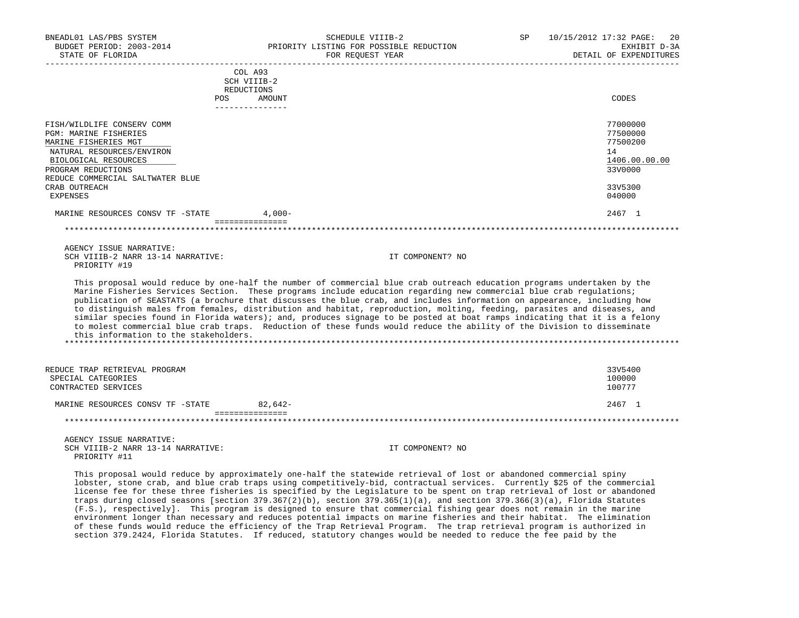| BNEADL01 LAS/PBS SYSTEM<br>BUDGET PERIOD: 2003-2014 |                           | SCHEDULE VIIIB-2<br>PRIORITY LISTING FOR POSSIBLE REDUCTION                                                                                                                                                                                           | SP | 10/15/2012 17:32 PAGE:<br>20<br>EXHIBIT D-3A |
|-----------------------------------------------------|---------------------------|-------------------------------------------------------------------------------------------------------------------------------------------------------------------------------------------------------------------------------------------------------|----|----------------------------------------------|
| STATE OF FLORIDA                                    |                           | FOR REOUEST YEAR                                                                                                                                                                                                                                      |    | DETAIL OF EXPENDITURES                       |
|                                                     | COL A93                   |                                                                                                                                                                                                                                                       |    |                                              |
|                                                     | SCH VIIIB-2<br>REDUCTIONS |                                                                                                                                                                                                                                                       |    |                                              |
|                                                     | POS<br>AMOUNT             |                                                                                                                                                                                                                                                       |    | CODES                                        |
|                                                     | _______________           |                                                                                                                                                                                                                                                       |    |                                              |
| FISH/WILDLIFE CONSERV COMM                          |                           |                                                                                                                                                                                                                                                       |    | 77000000                                     |
| <b>PGM: MARINE FISHERIES</b>                        |                           |                                                                                                                                                                                                                                                       |    | 77500000                                     |
| MARINE FISHERIES MGT                                |                           |                                                                                                                                                                                                                                                       |    | 77500200                                     |
| NATURAL RESOURCES/ENVIRON                           |                           |                                                                                                                                                                                                                                                       |    | 14                                           |
| BIOLOGICAL RESOURCES                                |                           |                                                                                                                                                                                                                                                       |    | 1406.00.00.00                                |
| PROGRAM REDUCTIONS                                  |                           |                                                                                                                                                                                                                                                       |    | 33V0000                                      |
| REDUCE COMMERCIAL SALTWATER BLUE                    |                           |                                                                                                                                                                                                                                                       |    |                                              |
| CRAB OUTREACH                                       |                           |                                                                                                                                                                                                                                                       |    | 33V5300                                      |
| <b>EXPENSES</b>                                     |                           |                                                                                                                                                                                                                                                       |    | 040000                                       |
| MARINE RESOURCES CONSV TF -STATE                    | $4.000 -$                 |                                                                                                                                                                                                                                                       |    | 2467 1                                       |
|                                                     | <b>Boodedocedocedo</b>    |                                                                                                                                                                                                                                                       |    |                                              |
|                                                     |                           |                                                                                                                                                                                                                                                       |    |                                              |
| AGENCY ISSUE NARRATIVE:                             |                           |                                                                                                                                                                                                                                                       |    |                                              |
| SCH VIIIB-2 NARR 13-14 NARRATIVE:                   |                           | IT COMPONENT? NO                                                                                                                                                                                                                                      |    |                                              |
| PRIORITY #19                                        |                           |                                                                                                                                                                                                                                                       |    |                                              |
|                                                     |                           |                                                                                                                                                                                                                                                       |    |                                              |
|                                                     |                           | This proposal would reduce by one-half the number of commercial blue crab outreach education programs undertaken by the                                                                                                                               |    |                                              |
|                                                     |                           | Marine Fisheries Services Section. These programs include education regarding new commercial blue crab regulations;                                                                                                                                   |    |                                              |
|                                                     |                           | publication of SEASTATS (a brochure that discusses the blue crab, and includes information on appearance, including how                                                                                                                               |    |                                              |
|                                                     |                           | to distinguish males from females, distribution and habitat, reproduction, molting, feeding, parasites and diseases, and<br>similar species found in Florida waters); and, produces signage to be posted at boat ramps indicating that it is a felony |    |                                              |
|                                                     |                           | to molest commercial blue crab traps. Reduction of these funds would reduce the ability of the Division to disseminate                                                                                                                                |    |                                              |
| this information to the stakeholders.               |                           |                                                                                                                                                                                                                                                       |    |                                              |
|                                                     |                           |                                                                                                                                                                                                                                                       |    |                                              |
|                                                     |                           |                                                                                                                                                                                                                                                       |    |                                              |
| REDUCE TRAP RETRIEVAL PROGRAM                       |                           |                                                                                                                                                                                                                                                       |    | 33V5400                                      |
| SPECIAL CATEGORIES                                  |                           |                                                                                                                                                                                                                                                       |    | 100000                                       |
| CONTRACTED SERVICES                                 |                           |                                                                                                                                                                                                                                                       |    | 100777                                       |
| MARINE RESOURCES CONSV TF -STATE                    | 82,642-                   |                                                                                                                                                                                                                                                       |    | 2467 1                                       |
|                                                     | ===============           | **********************************                                                                                                                                                                                                                    |    |                                              |
|                                                     |                           |                                                                                                                                                                                                                                                       |    |                                              |
| AGENCY ISSUE NARRATIVE:                             |                           |                                                                                                                                                                                                                                                       |    |                                              |
| SCH VIIIB-2 NARR 13-14 NARRATIVE:                   |                           | IT COMPONENT? NO                                                                                                                                                                                                                                      |    |                                              |

PRIORITY #11

 This proposal would reduce by approximately one-half the statewide retrieval of lost or abandoned commercial spiny lobster, stone crab, and blue crab traps using competitively-bid, contractual services. Currently \$25 of the commercial license fee for these three fisheries is specified by the Legislature to be spent on trap retrieval of lost or abandoned traps during closed seasons [section 379.367(2)(b), section 379.365(1)(a), and section 379.366(3)(a), Florida Statutes (F.S.), respectively]. This program is designed to ensure that commercial fishing gear does not remain in the marine environment longer than necessary and reduces potential impacts on marine fisheries and their habitat. The elimination of these funds would reduce the efficiency of the Trap Retrieval Program. The trap retrieval program is authorized in section 379.2424, Florida Statutes. If reduced, statutory changes would be needed to reduce the fee paid by the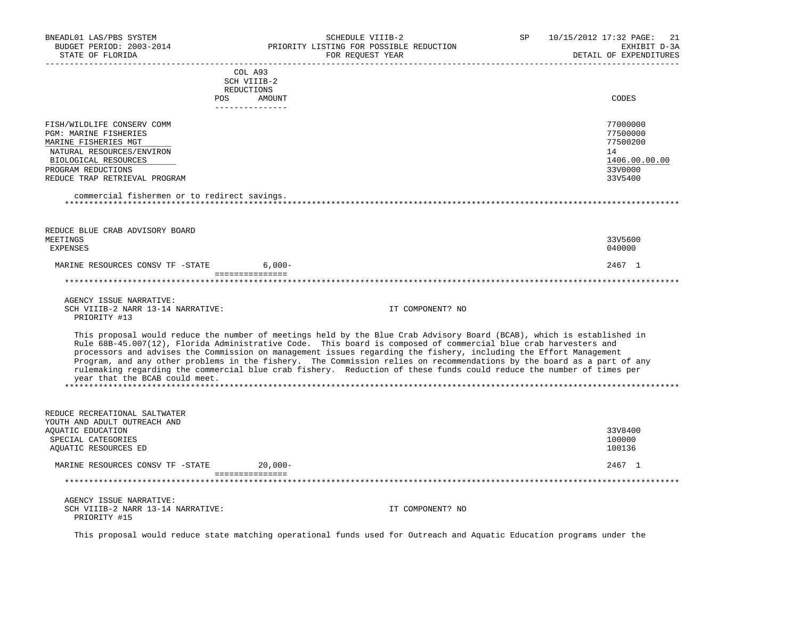| BNEADL01 LAS/PBS SYSTEM<br>BUDGET PERIOD: 2003-2014<br>STATE OF FLORIDA                                                                                                                                                                        | SCHEDULE VIIIB-2<br>PRIORITY LISTING FOR POSSIBLE REDUCTION<br>FOR REOUEST YEAR                                                                                                                                                                                                                                                                                                                                                                                                                                                                                                                                  | SP | 10/15/2012 17:32 PAGE:<br>21<br>EXHIBIT D-3A<br>DETAIL OF EXPENDITURES        |
|------------------------------------------------------------------------------------------------------------------------------------------------------------------------------------------------------------------------------------------------|------------------------------------------------------------------------------------------------------------------------------------------------------------------------------------------------------------------------------------------------------------------------------------------------------------------------------------------------------------------------------------------------------------------------------------------------------------------------------------------------------------------------------------------------------------------------------------------------------------------|----|-------------------------------------------------------------------------------|
| POS                                                                                                                                                                                                                                            | COL A93<br>SCH VIIIB-2<br>REDUCTIONS<br>AMOUNT                                                                                                                                                                                                                                                                                                                                                                                                                                                                                                                                                                   |    | CODES                                                                         |
| FISH/WILDLIFE CONSERV COMM<br><b>PGM: MARINE FISHERIES</b><br>MARINE FISHERIES MGT<br>NATURAL RESOURCES/ENVIRON<br>BIOLOGICAL RESOURCES<br>PROGRAM REDUCTIONS<br>REDUCE TRAP RETRIEVAL PROGRAM<br>commercial fishermen or to redirect savings. | _______________                                                                                                                                                                                                                                                                                                                                                                                                                                                                                                                                                                                                  |    | 77000000<br>77500000<br>77500200<br>14<br>1406.00.00.00<br>33V0000<br>33V5400 |
| REDUCE BLUE CRAB ADVISORY BOARD<br>MEETINGS<br><b>EXPENSES</b>                                                                                                                                                                                 |                                                                                                                                                                                                                                                                                                                                                                                                                                                                                                                                                                                                                  |    | 33V5600<br>040000                                                             |
| MARINE RESOURCES CONSV TF -STATE                                                                                                                                                                                                               | $6,000-$<br>- ================                                                                                                                                                                                                                                                                                                                                                                                                                                                                                                                                                                                   |    | 2467 1                                                                        |
|                                                                                                                                                                                                                                                |                                                                                                                                                                                                                                                                                                                                                                                                                                                                                                                                                                                                                  |    |                                                                               |
| AGENCY ISSUE NARRATIVE:<br>SCH VIIIB-2 NARR 13-14 NARRATIVE:<br>PRIORITY #13                                                                                                                                                                   | IT COMPONENT? NO                                                                                                                                                                                                                                                                                                                                                                                                                                                                                                                                                                                                 |    |                                                                               |
| year that the BCAB could meet.                                                                                                                                                                                                                 | This proposal would reduce the number of meetings held by the Blue Crab Advisory Board (BCAB), which is established in<br>Rule 68B-45.007(12), Florida Administrative Code. This board is composed of commercial blue crab harvesters and<br>processors and advises the Commission on management issues regarding the fishery, including the Effort Management<br>Program, and any other problems in the fishery. The Commission relies on recommendations by the board as a part of any<br>rulemaking regarding the commercial blue crab fishery. Reduction of these funds could reduce the number of times per |    |                                                                               |
| REDUCE RECREATIONAL SALTWATER<br>YOUTH AND ADULT OUTREACH AND<br>AQUATIC EDUCATION<br>SPECIAL CATEGORIES<br>AQUATIC RESOURCES ED                                                                                                               |                                                                                                                                                                                                                                                                                                                                                                                                                                                                                                                                                                                                                  |    | 33V8400<br>100000<br>100136                                                   |
| MARINE RESOURCES CONSV TF -STATE                                                                                                                                                                                                               | $20,000-$                                                                                                                                                                                                                                                                                                                                                                                                                                                                                                                                                                                                        |    | 2467 1                                                                        |
|                                                                                                                                                                                                                                                | ===============<br>**********************                                                                                                                                                                                                                                                                                                                                                                                                                                                                                                                                                                        |    |                                                                               |
| AGENCY ISSUE NARRATIVE:<br>SCH VIIIB-2 NARR 13-14 NARRATIVE:<br>PRIORITY #15                                                                                                                                                                   | IT COMPONENT? NO                                                                                                                                                                                                                                                                                                                                                                                                                                                                                                                                                                                                 |    |                                                                               |

This proposal would reduce state matching operational funds used for Outreach and Aquatic Education programs under the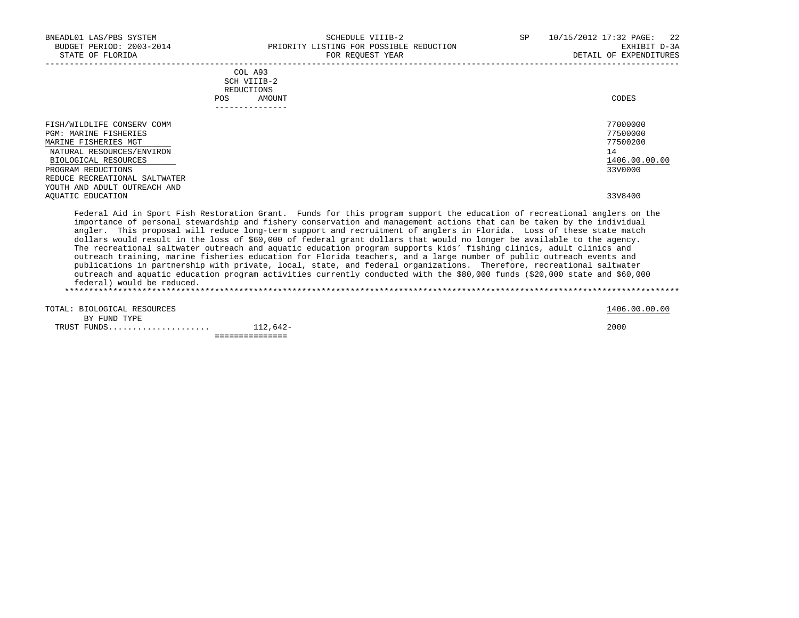| BNEADL01 LAS/PBS SYSTEM<br>BUDGET PERIOD: 2003-2014<br>STATE OF FLORIDA                                                                                                                                                        | SCHEDULE VIIIB-2<br>PRIORITY LISTING FOR POSSIBLE REDUCTION<br>FOR REOUEST YEAR                                                                                                                                                                                                                                                                                                                                                                                                                                                                                                                                                                                                                                                                                                                                                                                               | SP | 10/15/2012 17:32 PAGE: 22<br>EXHIBIT D-3A<br>DETAIL OF EXPENDITURES |
|--------------------------------------------------------------------------------------------------------------------------------------------------------------------------------------------------------------------------------|-------------------------------------------------------------------------------------------------------------------------------------------------------------------------------------------------------------------------------------------------------------------------------------------------------------------------------------------------------------------------------------------------------------------------------------------------------------------------------------------------------------------------------------------------------------------------------------------------------------------------------------------------------------------------------------------------------------------------------------------------------------------------------------------------------------------------------------------------------------------------------|----|---------------------------------------------------------------------|
|                                                                                                                                                                                                                                | COL A93<br>SCH VIIIB-2<br>REDUCTIONS<br>POS AMOUNT<br>---------------                                                                                                                                                                                                                                                                                                                                                                                                                                                                                                                                                                                                                                                                                                                                                                                                         |    | CODES                                                               |
| FISH/WILDLIFE CONSERV COMM<br><b>PGM: MARINE FISHERIES</b><br>MARINE FISHERIES MGT<br>NATURAL RESOURCES/ENVIRON<br>BIOLOGICAL RESOURCES<br>PROGRAM REDUCTIONS<br>REDUCE RECREATIONAL SALTWATER<br>YOUTH AND ADULT OUTREACH AND |                                                                                                                                                                                                                                                                                                                                                                                                                                                                                                                                                                                                                                                                                                                                                                                                                                                                               |    | 77000000<br>77500000<br>77500200<br>14<br>1406.00.00.00<br>33V0000  |
| AOUATIC EDUCATION                                                                                                                                                                                                              | Federal Aid in Sport Fish Restoration Grant. Funds for this program support the education of recreational anglers on the                                                                                                                                                                                                                                                                                                                                                                                                                                                                                                                                                                                                                                                                                                                                                      |    | 33V8400                                                             |
| federal) would be reduced.                                                                                                                                                                                                     | importance of personal stewardship and fishery conservation and management actions that can be taken by the individual<br>angler. This proposal will reduce long-term support and recruitment of anglers in Florida. Loss of these state match<br>dollars would result in the loss of \$60,000 of federal grant dollars that would no longer be available to the agency.<br>The recreational saltwater outreach and aquatic education program supports kids' fishing clinics, adult clinics and<br>outreach training, marine fisheries education for Florida teachers, and a large number of public outreach events and<br>publications in partnership with private, local, state, and federal organizations. Therefore, recreational saltwater<br>outreach and aquatic education program activities currently conducted with the \$80,000 funds (\$20,000 state and \$60,000 |    |                                                                     |
| TOTAL: BIOLOGICAL RESOURCES<br>BY FUND TYPE                                                                                                                                                                                    |                                                                                                                                                                                                                                                                                                                                                                                                                                                                                                                                                                                                                                                                                                                                                                                                                                                                               |    | 1406.00.00.00                                                       |
|                                                                                                                                                                                                                                | ===============                                                                                                                                                                                                                                                                                                                                                                                                                                                                                                                                                                                                                                                                                                                                                                                                                                                               |    | 2000                                                                |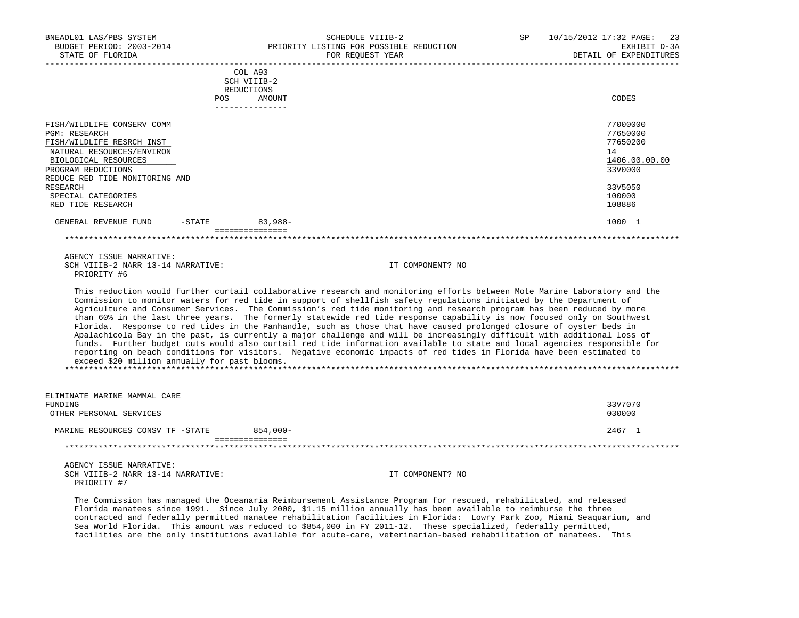| BNEADL01 LAS/PBS SYSTEM<br>BUDGET PERIOD: 2003-2014<br>STATE OF FLORIDA                                                                                                                                                                                    |     |                                      | SCHEDULE VIIIB-2<br>PRIORITY LISTING FOR POSSIBLE REDUCTION<br>FOR REOUEST YEAR                                                                                                                                                                                                                                                                                                                                                                                                                                                                                                                                                                                                                                                                       | SP | 10/15/2012 17:32 PAGE: 23<br>EXHIBIT D-3A<br>DETAIL OF EXPENDITURES                               |
|------------------------------------------------------------------------------------------------------------------------------------------------------------------------------------------------------------------------------------------------------------|-----|--------------------------------------|-------------------------------------------------------------------------------------------------------------------------------------------------------------------------------------------------------------------------------------------------------------------------------------------------------------------------------------------------------------------------------------------------------------------------------------------------------------------------------------------------------------------------------------------------------------------------------------------------------------------------------------------------------------------------------------------------------------------------------------------------------|----|---------------------------------------------------------------------------------------------------|
|                                                                                                                                                                                                                                                            |     | COL A93<br>SCH VIIIB-2<br>REDUCTIONS |                                                                                                                                                                                                                                                                                                                                                                                                                                                                                                                                                                                                                                                                                                                                                       |    |                                                                                                   |
|                                                                                                                                                                                                                                                            | POS | AMOUNT<br>---------------            |                                                                                                                                                                                                                                                                                                                                                                                                                                                                                                                                                                                                                                                                                                                                                       |    | CODES                                                                                             |
| FISH/WILDLIFE CONSERV COMM<br><b>PGM: RESEARCH</b><br>FISH/WILDLIFE RESRCH INST<br>NATURAL RESOURCES/ENVIRON<br>BIOLOGICAL RESOURCES<br>PROGRAM REDUCTIONS<br>REDUCE RED TIDE MONITORING AND<br><b>RESEARCH</b><br>SPECIAL CATEGORIES<br>RED TIDE RESEARCH |     |                                      |                                                                                                                                                                                                                                                                                                                                                                                                                                                                                                                                                                                                                                                                                                                                                       |    | 77000000<br>77650000<br>77650200<br>14<br>1406.00.00.00<br>33V0000<br>33V5050<br>100000<br>108886 |
| GENERAL REVENUE FUND -STATE 63,988-                                                                                                                                                                                                                        |     |                                      |                                                                                                                                                                                                                                                                                                                                                                                                                                                                                                                                                                                                                                                                                                                                                       |    | 1000 1                                                                                            |
|                                                                                                                                                                                                                                                            |     | ================                     |                                                                                                                                                                                                                                                                                                                                                                                                                                                                                                                                                                                                                                                                                                                                                       |    |                                                                                                   |
| AGENCY ISSUE NARRATIVE:<br>SCH VIIIB-2 NARR 13-14 NARRATIVE:<br>PRIORITY #6                                                                                                                                                                                |     |                                      | IT COMPONENT? NO                                                                                                                                                                                                                                                                                                                                                                                                                                                                                                                                                                                                                                                                                                                                      |    |                                                                                                   |
|                                                                                                                                                                                                                                                            |     |                                      | This reduction would further curtail collaborative research and monitoring efforts between Mote Marine Laboratory and the<br>Commission to monitor waters for red tide in support of shellfish safety regulations initiated by the Department of<br>Agriculture and Consumer Services. The Commission's red tide monitoring and research program has been reduced by more<br>than 60% in the last three years. The formerly statewide red tide response capability is now focused only on Southwest<br>Florida. Response to red tides in the Panhandle, such as those that have caused prolonged closure of oyster beds in<br>Apalachicola Bay in the past, is currently a major challenge and will be increasingly difficult with additional loss of |    |                                                                                                   |

 funds. Further budget cuts would also curtail red tide information available to state and local agencies responsible for reporting on beach conditions for visitors. Negative economic impacts of red tides in Florida have been estimated to exceed \$20 million annually for past blooms. \*\*\*\*\*\*\*\*\*\*\*\*\*\*\*\*\*\*\*\*\*\*\*\*\*\*\*\*\*\*\*\*\*\*\*\*\*\*\*\*\*\*\*\*\*\*\*\*\*\*\*\*\*\*\*\*\*\*\*\*\*\*\*\*\*\*\*\*\*\*\*\*\*\*\*\*\*\*\*\*\*\*\*\*\*\*\*\*\*\*\*\*\*\*\*\*\*\*\*\*\*\*\*\*\*\*\*\*\*\*\*\*\*\*\*\*\*\*\*\*\*\*\*\*\*\*\*

| ELIMINATE MARINE MAMMAL CARE<br>FUNDING<br>OTHER PERSONAL SERVICES |             | 33V7070<br>030000 |
|--------------------------------------------------------------------|-------------|-------------------|
| MARINE RESOURCES CONSV TF -STATE                                   | $854.000 -$ | 2467 1            |
|                                                                    |             |                   |

 AGENCY ISSUE NARRATIVE: SCH VIIIB-2 NARR 13-14 NARRATIVE: IT COMPONENT? NO PRIORITY #7

 The Commission has managed the Oceanaria Reimbursement Assistance Program for rescued, rehabilitated, and released Florida manatees since 1991. Since July 2000, \$1.15 million annually has been available to reimburse the three contracted and federally permitted manatee rehabilitation facilities in Florida: Lowry Park Zoo, Miami Seaquarium, and Sea World Florida. This amount was reduced to \$854,000 in FY 2011-12. These specialized, federally permitted, facilities are the only institutions available for acute-care, veterinarian-based rehabilitation of manatees. This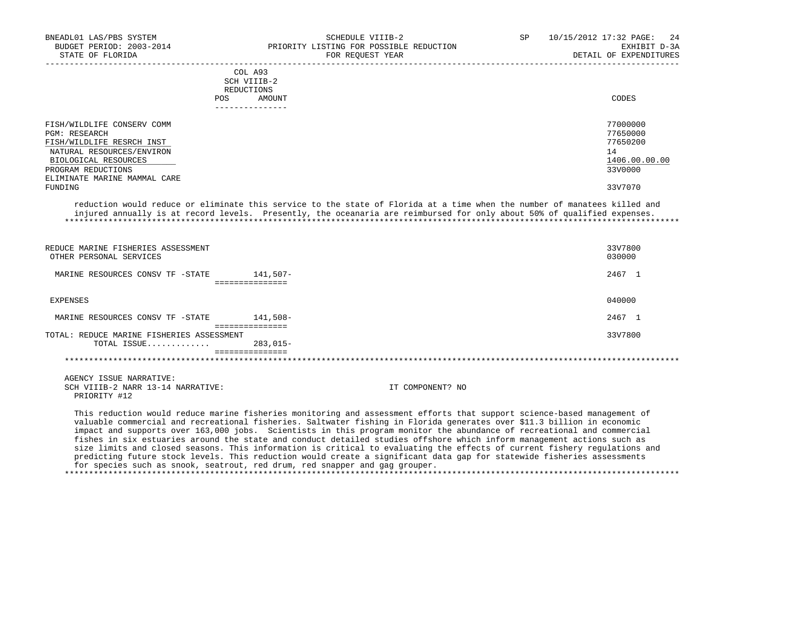| BNEADL01 LAS/PBS SYSTEM<br>BUDGET PERIOD: 2003-2014<br>STATE OF FLORIDA                                                                                                                    | SCHEDULE VIIIB-2<br>PRIORITY LISTING FOR POSSIBLE REDUCTION<br>FOR REQUEST YEAR | SP | 10/15/2012 17:32 PAGE: 24<br>EXHIBIT D-3A<br>DETAIL OF EXPENDITURES |
|--------------------------------------------------------------------------------------------------------------------------------------------------------------------------------------------|---------------------------------------------------------------------------------|----|---------------------------------------------------------------------|
|                                                                                                                                                                                            | COL A93<br>SCH VIIIB-2<br>REDUCTIONS<br>AMOUNT<br><b>POS</b><br>--------------  |    | CODES                                                               |
| FISH/WILDLIFE CONSERV COMM<br><b>PGM: RESEARCH</b><br>FISH/WILDLIFE RESRCH INST<br>NATURAL RESOURCES/ENVIRON<br>BIOLOGICAL RESOURCES<br>PROGRAM REDUCTIONS<br>ELIMINATE MARINE MAMMAL CARE |                                                                                 |    | 77000000<br>77650000<br>77650200<br>14<br>1406.00.00.00<br>33V0000  |
| FUNDING                                                                                                                                                                                    |                                                                                 |    | 33V7070                                                             |

 reduction would reduce or eliminate this service to the state of Florida at a time when the number of manatees killed and injured annually is at record levels. Presently, the oceanaria are reimbursed for only about 50% of qualified expenses. \*\*\*\*\*\*\*\*\*\*\*\*\*\*\*\*\*\*\*\*\*\*\*\*\*\*\*\*\*\*\*\*\*\*\*\*\*\*\*\*\*\*\*\*\*\*\*\*\*\*\*\*\*\*\*\*\*\*\*\*\*\*\*\*\*\*\*\*\*\*\*\*\*\*\*\*\*\*\*\*\*\*\*\*\*\*\*\*\*\*\*\*\*\*\*\*\*\*\*\*\*\*\*\*\*\*\*\*\*\*\*\*\*\*\*\*\*\*\*\*\*\*\*\*\*\*\*

| REDUCE MARINE FISHERIES ASSESSMENT<br>OTHER PERSONAL SERVICES                |                                                                                                                                                                                                                                                   | 33V7800<br>030000 |
|------------------------------------------------------------------------------|---------------------------------------------------------------------------------------------------------------------------------------------------------------------------------------------------------------------------------------------------|-------------------|
| MARINE RESOURCES CONSV TF -STATE                                             | 141,507-                                                                                                                                                                                                                                          | 2467 1            |
| EXPENSES                                                                     |                                                                                                                                                                                                                                                   | 040000            |
| MARINE RESOURCES CONSV TF -STATE                                             | 141,508–                                                                                                                                                                                                                                          | 2467 1            |
| TOTAL: REDUCE MARINE FISHERIES ASSESSMENT<br>TOTAL ISSUE                     | ===============<br>$283.015-$                                                                                                                                                                                                                     | 33V7800           |
| AGENCY ISSUE NARRATIVE:<br>SCH VIIIB-2 NARR 13-14 NARRATIVE:<br>PRIORITY #12 | IT COMPONENT? NO                                                                                                                                                                                                                                  |                   |
|                                                                              | This reduction would reduce marine fisheries monitoring and assessment efforts that support science-based management of<br>valuable commercial and recreational fisheries. Saltwater fishing in Florida generates over \$11.3 billion in economic |                   |

 impact and supports over 163,000 jobs. Scientists in this program monitor the abundance of recreational and commercial fishes in six estuaries around the state and conduct detailed studies offshore which inform management actions such as size limits and closed seasons. This information is critical to evaluating the effects of current fishery regulations and predicting future stock levels. This reduction would create a significant data gap for statewide fisheries assessments for species such as snook, seatrout, red drum, red snapper and gag grouper. \*\*\*\*\*\*\*\*\*\*\*\*\*\*\*\*\*\*\*\*\*\*\*\*\*\*\*\*\*\*\*\*\*\*\*\*\*\*\*\*\*\*\*\*\*\*\*\*\*\*\*\*\*\*\*\*\*\*\*\*\*\*\*\*\*\*\*\*\*\*\*\*\*\*\*\*\*\*\*\*\*\*\*\*\*\*\*\*\*\*\*\*\*\*\*\*\*\*\*\*\*\*\*\*\*\*\*\*\*\*\*\*\*\*\*\*\*\*\*\*\*\*\*\*\*\*\*